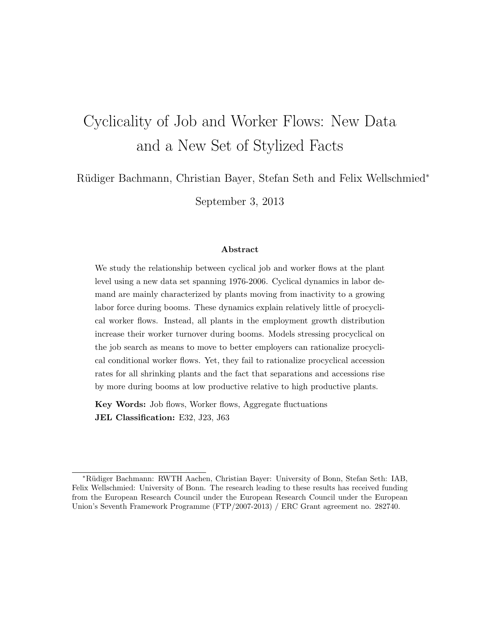# Cyclicality of Job and Worker Flows: New Data and a New Set of Stylized Facts

Rüdiger Bachmann, Christian Bayer, Stefan Seth and Felix Wellschmied<sup>∗</sup>

September 3, 2013

#### Abstract

We study the relationship between cyclical job and worker flows at the plant level using a new data set spanning 1976-2006. Cyclical dynamics in labor demand are mainly characterized by plants moving from inactivity to a growing labor force during booms. These dynamics explain relatively little of procyclical worker flows. Instead, all plants in the employment growth distribution increase their worker turnover during booms. Models stressing procyclical on the job search as means to move to better employers can rationalize procyclical conditional worker flows. Yet, they fail to rationalize procyclical accession rates for all shrinking plants and the fact that separations and accessions rise by more during booms at low productive relative to high productive plants.

Key Words: Job flows, Worker flows, Aggregate fluctuations JEL Classification: E32, J23, J63

<sup>∗</sup>R¨udiger Bachmann: RWTH Aachen, Christian Bayer: University of Bonn, Stefan Seth: IAB, Felix Wellschmied: University of Bonn. The research leading to these results has received funding from the European Research Council under the European Research Council under the European Union's Seventh Framework Programme (FTP/2007-2013) / ERC Grant agreement no. 282740.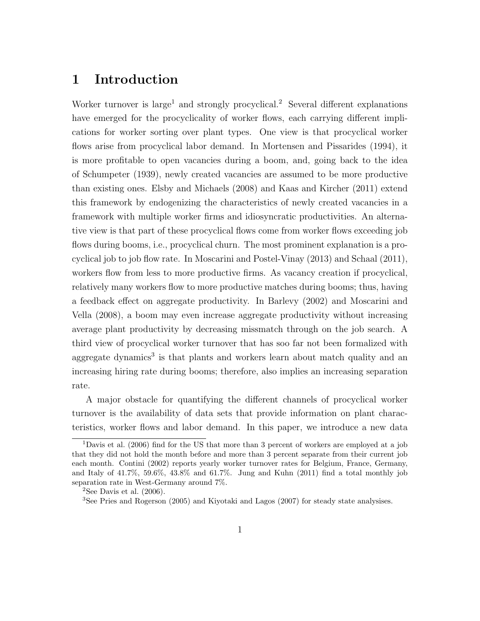### 1 Introduction

Worker turnover is large<sup>1</sup> and strongly procyclical.<sup>2</sup> Several different explanations have emerged for the procyclicality of worker flows, each carrying different implications for worker sorting over plant types. One view is that procyclical worker flows arise from procyclical labor demand. In Mortensen and Pissarides (1994), it is more profitable to open vacancies during a boom, and, going back to the idea of Schumpeter (1939), newly created vacancies are assumed to be more productive than existing ones. Elsby and Michaels (2008) and Kaas and Kircher (2011) extend this framework by endogenizing the characteristics of newly created vacancies in a framework with multiple worker firms and idiosyncratic productivities. An alternative view is that part of these procyclical flows come from worker flows exceeding job flows during booms, i.e., procyclical churn. The most prominent explanation is a procyclical job to job flow rate. In Moscarini and Postel-Vinay (2013) and Schaal (2011), workers flow from less to more productive firms. As vacancy creation if procyclical, relatively many workers flow to more productive matches during booms; thus, having a feedback effect on aggregate productivity. In Barlevy (2002) and Moscarini and Vella (2008), a boom may even increase aggregate productivity without increasing average plant productivity by decreasing missmatch through on the job search. A third view of procyclical worker turnover that has soo far not been formalized with aggregate dynamics<sup>3</sup> is that plants and workers learn about match quality and an increasing hiring rate during booms; therefore, also implies an increasing separation rate.

A major obstacle for quantifying the different channels of procyclical worker turnover is the availability of data sets that provide information on plant characteristics, worker flows and labor demand. In this paper, we introduce a new data

<sup>1</sup>Davis et al. (2006) find for the US that more than 3 percent of workers are employed at a job that they did not hold the month before and more than 3 percent separate from their current job each month. Contini (2002) reports yearly worker turnover rates for Belgium, France, Germany, and Italy of 41.7%, 59.6%, 43.8% and 61.7%. Jung and Kuhn (2011) find a total monthly job separation rate in West-Germany around 7%.

<sup>&</sup>lt;sup>2</sup>See Davis et al.  $(2006)$ .

<sup>3</sup>See Pries and Rogerson (2005) and Kiyotaki and Lagos (2007) for steady state analysises.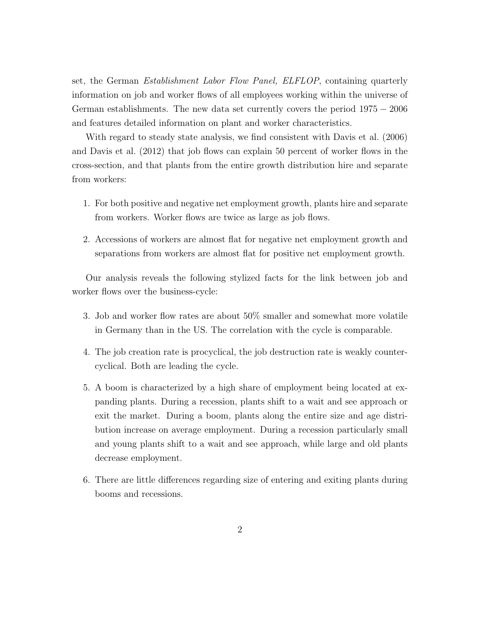set, the German Establishment Labor Flow Panel, ELFLOP, containing quarterly information on job and worker flows of all employees working within the universe of German establishments. The new data set currently covers the period  $1975 - 2006$ and features detailed information on plant and worker characteristics.

With regard to steady state analysis, we find consistent with Davis et al. (2006) and Davis et al. (2012) that job flows can explain 50 percent of worker flows in the cross-section, and that plants from the entire growth distribution hire and separate from workers:

- 1. For both positive and negative net employment growth, plants hire and separate from workers. Worker flows are twice as large as job flows.
- 2. Accessions of workers are almost flat for negative net employment growth and separations from workers are almost flat for positive net employment growth.

Our analysis reveals the following stylized facts for the link between job and worker flows over the business-cycle:

- 3. Job and worker flow rates are about 50% smaller and somewhat more volatile in Germany than in the US. The correlation with the cycle is comparable.
- 4. The job creation rate is procyclical, the job destruction rate is weakly countercyclical. Both are leading the cycle.
- 5. A boom is characterized by a high share of employment being located at expanding plants. During a recession, plants shift to a wait and see approach or exit the market. During a boom, plants along the entire size and age distribution increase on average employment. During a recession particularly small and young plants shift to a wait and see approach, while large and old plants decrease employment.
- 6. There are little differences regarding size of entering and exiting plants during booms and recessions.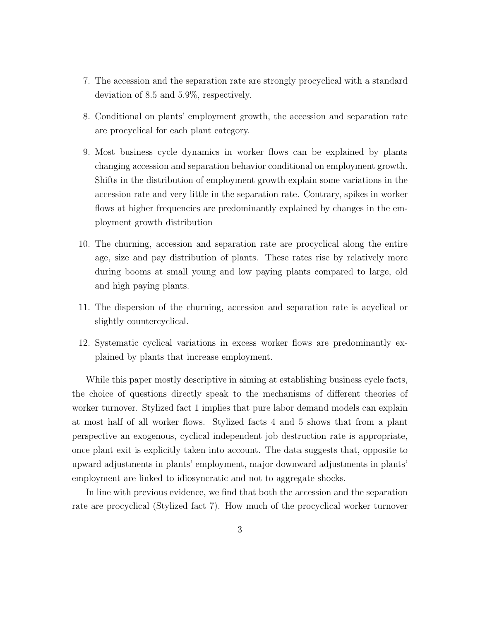- 7. The accession and the separation rate are strongly procyclical with a standard deviation of 8.5 and 5.9%, respectively.
- 8. Conditional on plants' employment growth, the accession and separation rate are procyclical for each plant category.
- 9. Most business cycle dynamics in worker flows can be explained by plants changing accession and separation behavior conditional on employment growth. Shifts in the distribution of employment growth explain some variations in the accession rate and very little in the separation rate. Contrary, spikes in worker flows at higher frequencies are predominantly explained by changes in the employment growth distribution
- 10. The churning, accession and separation rate are procyclical along the entire age, size and pay distribution of plants. These rates rise by relatively more during booms at small young and low paying plants compared to large, old and high paying plants.
- 11. The dispersion of the churning, accession and separation rate is acyclical or slightly countercyclical.
- 12. Systematic cyclical variations in excess worker flows are predominantly explained by plants that increase employment.

While this paper mostly descriptive in aiming at establishing business cycle facts, the choice of questions directly speak to the mechanisms of different theories of worker turnover. Stylized fact 1 implies that pure labor demand models can explain at most half of all worker flows. Stylized facts 4 and 5 shows that from a plant perspective an exogenous, cyclical independent job destruction rate is appropriate, once plant exit is explicitly taken into account. The data suggests that, opposite to upward adjustments in plants' employment, major downward adjustments in plants' employment are linked to idiosyncratic and not to aggregate shocks.

In line with previous evidence, we find that both the accession and the separation rate are procyclical (Stylized fact 7). How much of the procyclical worker turnover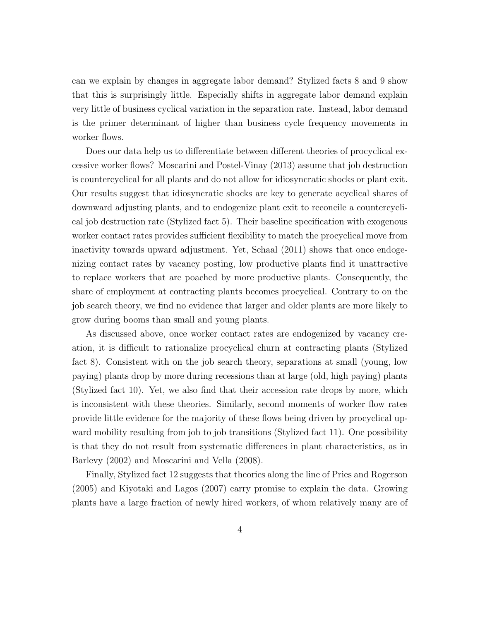can we explain by changes in aggregate labor demand? Stylized facts 8 and 9 show that this is surprisingly little. Especially shifts in aggregate labor demand explain very little of business cyclical variation in the separation rate. Instead, labor demand is the primer determinant of higher than business cycle frequency movements in worker flows.

Does our data help us to differentiate between different theories of procyclical excessive worker flows? Moscarini and Postel-Vinay (2013) assume that job destruction is countercyclical for all plants and do not allow for idiosyncratic shocks or plant exit. Our results suggest that idiosyncratic shocks are key to generate acyclical shares of downward adjusting plants, and to endogenize plant exit to reconcile a countercyclical job destruction rate (Stylized fact 5). Their baseline specification with exogenous worker contact rates provides sufficient flexibility to match the procyclical move from inactivity towards upward adjustment. Yet, Schaal (2011) shows that once endogenizing contact rates by vacancy posting, low productive plants find it unattractive to replace workers that are poached by more productive plants. Consequently, the share of employment at contracting plants becomes procyclical. Contrary to on the job search theory, we find no evidence that larger and older plants are more likely to grow during booms than small and young plants.

As discussed above, once worker contact rates are endogenized by vacancy creation, it is difficult to rationalize procyclical churn at contracting plants (Stylized fact 8). Consistent with on the job search theory, separations at small (young, low paying) plants drop by more during recessions than at large (old, high paying) plants (Stylized fact 10). Yet, we also find that their accession rate drops by more, which is inconsistent with these theories. Similarly, second moments of worker flow rates provide little evidence for the majority of these flows being driven by procyclical upward mobility resulting from job to job transitions (Stylized fact 11). One possibility is that they do not result from systematic differences in plant characteristics, as in Barlevy (2002) and Moscarini and Vella (2008).

Finally, Stylized fact 12 suggests that theories along the line of Pries and Rogerson (2005) and Kiyotaki and Lagos (2007) carry promise to explain the data. Growing plants have a large fraction of newly hired workers, of whom relatively many are of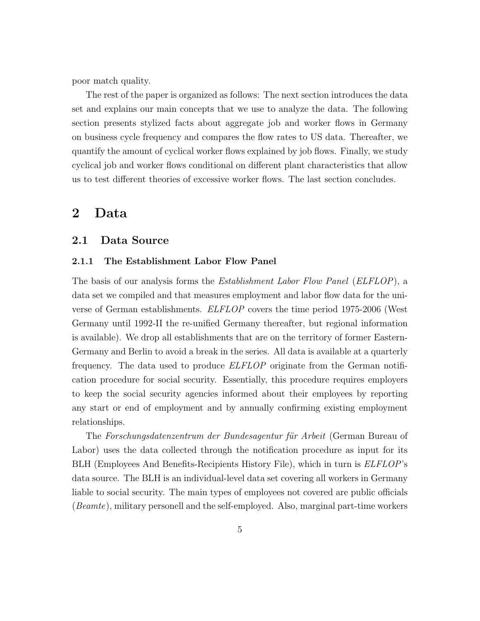poor match quality.

The rest of the paper is organized as follows: The next section introduces the data set and explains our main concepts that we use to analyze the data. The following section presents stylized facts about aggregate job and worker flows in Germany on business cycle frequency and compares the flow rates to US data. Thereafter, we quantify the amount of cyclical worker flows explained by job flows. Finally, we study cyclical job and worker flows conditional on different plant characteristics that allow us to test different theories of excessive worker flows. The last section concludes.

### 2 Data

#### 2.1 Data Source

#### 2.1.1 The Establishment Labor Flow Panel

The basis of our analysis forms the *Establishment Labor Flow Panel (ELFLOP)*, a data set we compiled and that measures employment and labor flow data for the universe of German establishments. ELFLOP covers the time period 1975-2006 (West Germany until 1992-II the re-unified Germany thereafter, but regional information is available). We drop all establishments that are on the territory of former Eastern-Germany and Berlin to avoid a break in the series. All data is available at a quarterly frequency. The data used to produce ELFLOP originate from the German notification procedure for social security. Essentially, this procedure requires employers to keep the social security agencies informed about their employees by reporting any start or end of employment and by annually confirming existing employment relationships.

The Forschungsdatenzentrum der Bundesagentur für Arbeit (German Bureau of Labor) uses the data collected through the notification procedure as input for its BLH (Employees And Benefits-Recipients History File), which in turn is ELFLOP's data source. The BLH is an individual-level data set covering all workers in Germany liable to social security. The main types of employees not covered are public officials (Beamte), military personell and the self-employed. Also, marginal part-time workers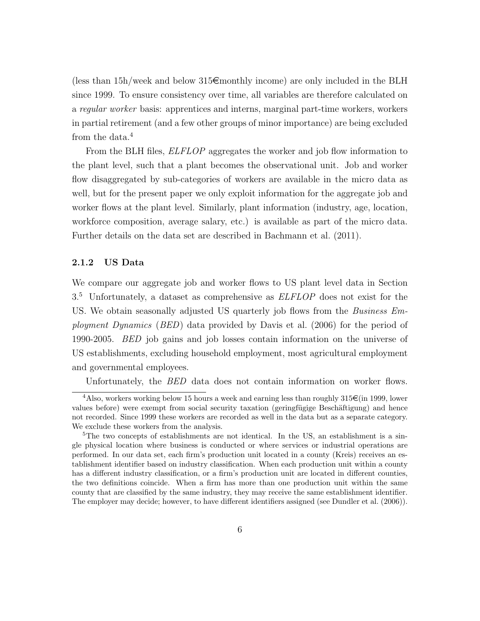(less than  $15h$ /week and below  $315\epsilon$  monthly income) are only included in the BLH since 1999. To ensure consistency over time, all variables are therefore calculated on a regular worker basis: apprentices and interns, marginal part-time workers, workers in partial retirement (and a few other groups of minor importance) are being excluded from the data.<sup>4</sup>

From the BLH files, *ELFLOP* aggregates the worker and job flow information to the plant level, such that a plant becomes the observational unit. Job and worker flow disaggregated by sub-categories of workers are available in the micro data as well, but for the present paper we only exploit information for the aggregate job and worker flows at the plant level. Similarly, plant information (industry, age, location, workforce composition, average salary, etc.) is available as part of the micro data. Further details on the data set are described in Bachmann et al. (2011).

#### 2.1.2 US Data

We compare our aggregate job and worker flows to US plant level data in Section  $3<sup>5</sup>$  Unfortunately, a dataset as comprehensive as *ELFLOP* does not exist for the US. We obtain seasonally adjusted US quarterly job flows from the *Business Em*ployment Dynamics (BED) data provided by Davis et al. (2006) for the period of 1990-2005. BED job gains and job losses contain information on the universe of US establishments, excluding household employment, most agricultural employment and governmental employees.

Unfortunately, the BED data does not contain information on worker flows.

<sup>&</sup>lt;sup>4</sup>Also, workers working below 15 hours a week and earning less than roughly  $315\epsilon$  (in 1999, lower values before) were exempt from social security taxation (gering fügige Beschäftigung) and hence not recorded. Since 1999 these workers are recorded as well in the data but as a separate category. We exclude these workers from the analysis.

<sup>&</sup>lt;sup>5</sup>The two concepts of establishments are not identical. In the US, an establishment is a single physical location where business is conducted or where services or industrial operations are performed. In our data set, each firm's production unit located in a county (Kreis) receives an establishment identifier based on industry classification. When each production unit within a county has a different industry classification, or a firm's production unit are located in different counties, the two definitions coincide. When a firm has more than one production unit within the same county that are classified by the same industry, they may receive the same establishment identifier. The employer may decide; however, to have different identifiers assigned (see Dundler et al. (2006)).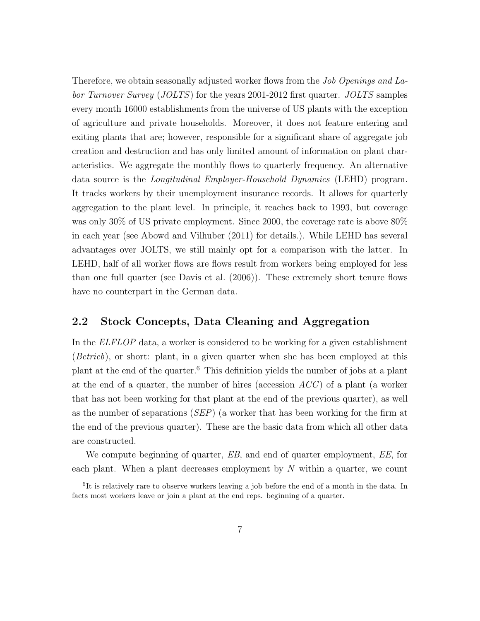Therefore, we obtain seasonally adjusted worker flows from the *Job Openings and La*bor Turnover Survey (JOLTS) for the years 2001-2012 first quarter. JOLTS samples every month 16000 establishments from the universe of US plants with the exception of agriculture and private households. Moreover, it does not feature entering and exiting plants that are; however, responsible for a significant share of aggregate job creation and destruction and has only limited amount of information on plant characteristics. We aggregate the monthly flows to quarterly frequency. An alternative data source is the Longitudinal Employer-Household Dynamics (LEHD) program. It tracks workers by their unemployment insurance records. It allows for quarterly aggregation to the plant level. In principle, it reaches back to 1993, but coverage was only 30% of US private employment. Since 2000, the coverage rate is above 80% in each year (see Abowd and Vilhuber (2011) for details.). While LEHD has several advantages over JOLTS, we still mainly opt for a comparison with the latter. In LEHD, half of all worker flows are flows result from workers being employed for less than one full quarter (see Davis et al. (2006)). These extremely short tenure flows have no counterpart in the German data.

### 2.2 Stock Concepts, Data Cleaning and Aggregation

In the ELFLOP data, a worker is considered to be working for a given establishment (Betrieb), or short: plant, in a given quarter when she has been employed at this plant at the end of the quarter.<sup>6</sup> This definition yields the number of jobs at a plant at the end of a quarter, the number of hires (accession  $\text{ACC}$ ) of a plant (a worker that has not been working for that plant at the end of the previous quarter), as well as the number of separations (SEP) (a worker that has been working for the firm at the end of the previous quarter). These are the basic data from which all other data are constructed.

We compute beginning of quarter, EB, and end of quarter employment, EE, for each plant. When a plant decreases employment by  $N$  within a quarter, we count

<sup>&</sup>lt;sup>6</sup>It is relatively rare to observe workers leaving a job before the end of a month in the data. In facts most workers leave or join a plant at the end reps. beginning of a quarter.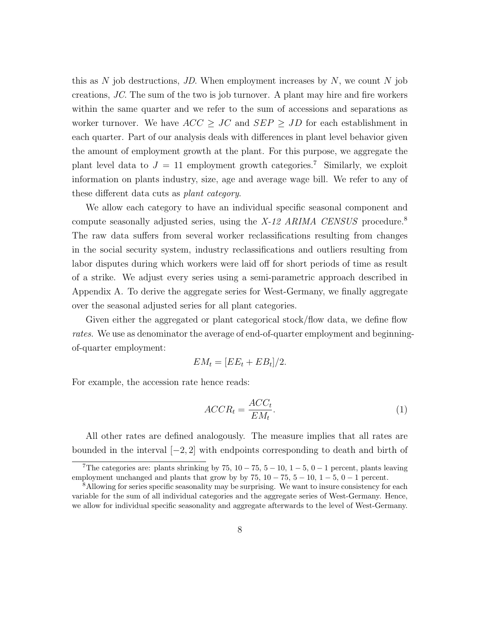this as  $N$  job destructions, JD. When employment increases by  $N$ , we count  $N$  job creations, JC. The sum of the two is job turnover. A plant may hire and fire workers within the same quarter and we refer to the sum of accessions and separations as worker turnover. We have  $ACC \geq JC$  and  $SEP \geq JD$  for each establishment in each quarter. Part of our analysis deals with differences in plant level behavior given the amount of employment growth at the plant. For this purpose, we aggregate the plant level data to  $J = 11$  employment growth categories.<sup>7</sup> Similarly, we exploit information on plants industry, size, age and average wage bill. We refer to any of these different data cuts as plant category.

We allow each category to have an individual specific seasonal component and compute seasonally adjusted series, using the  $X$ -12 ARIMA CENSUS procedure.<sup>8</sup> The raw data suffers from several worker reclassifications resulting from changes in the social security system, industry reclassifications and outliers resulting from labor disputes during which workers were laid off for short periods of time as result of a strike. We adjust every series using a semi-parametric approach described in Appendix A. To derive the aggregate series for West-Germany, we finally aggregate over the seasonal adjusted series for all plant categories.

Given either the aggregated or plant categorical stock/flow data, we define flow rates. We use as denominator the average of end-of-quarter employment and beginningof-quarter employment:

$$
EM_t = [EE_t + EB_t]/2.
$$

For example, the accession rate hence reads:

$$
ACCR_t = \frac{ACC_t}{EM_t}.\tag{1}
$$

All other rates are defined analogously. The measure implies that all rates are bounded in the interval  $[-2, 2]$  with endpoints corresponding to death and birth of

<sup>&</sup>lt;sup>7</sup>The categories are: plants shrinking by 75,  $10 - 75$ ,  $5 - 10$ ,  $1 - 5$ ,  $0 - 1$  percent, plants leaving employment unchanged and plants that grow by by  $75$ ,  $10 - 75$ ,  $5 - 10$ ,  $1 - 5$ ,  $0 - 1$  percent.

<sup>&</sup>lt;sup>8</sup>Allowing for series specific seasonality may be surprising. We want to insure consistency for each variable for the sum of all individual categories and the aggregate series of West-Germany. Hence, we allow for individual specific seasonality and aggregate afterwards to the level of West-Germany.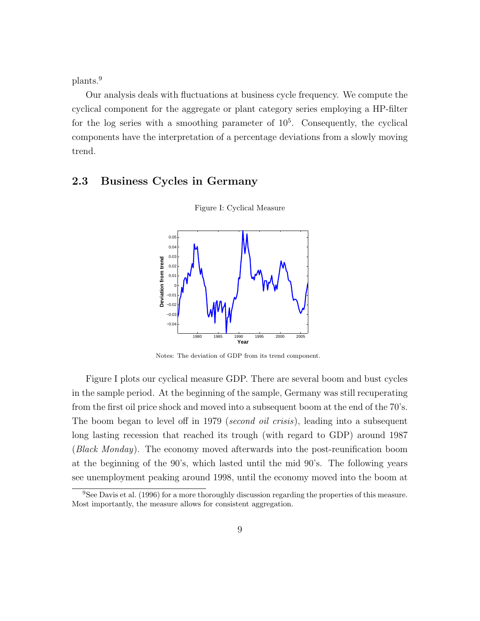plants.<sup>9</sup>

Our analysis deals with fluctuations at business cycle frequency. We compute the cyclical component for the aggregate or plant category series employing a HP-filter for the log series with a smoothing parameter of  $10<sup>5</sup>$ . Consequently, the cyclical components have the interpretation of a percentage deviations from a slowly moving trend.

#### 2.3 Business Cycles in Germany



Figure I: Cyclical Measure

Notes: The deviation of GDP from its trend component.

Figure I plots our cyclical measure GDP. There are several boom and bust cycles in the sample period. At the beginning of the sample, Germany was still recuperating from the first oil price shock and moved into a subsequent boom at the end of the 70's. The boom began to level off in 1979 *(second oil crisis)*, leading into a subsequent long lasting recession that reached its trough (with regard to GDP) around 1987 (Black Monday). The economy moved afterwards into the post-reunification boom at the beginning of the 90's, which lasted until the mid 90's. The following years see unemployment peaking around 1998, until the economy moved into the boom at

<sup>&</sup>lt;sup>9</sup>See Davis et al. (1996) for a more thoroughly discussion regarding the properties of this measure. Most importantly, the measure allows for consistent aggregation.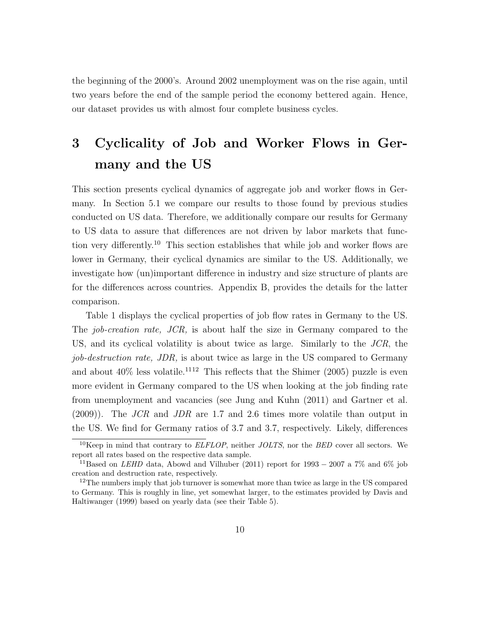the beginning of the 2000's. Around 2002 unemployment was on the rise again, until two years before the end of the sample period the economy bettered again. Hence, our dataset provides us with almost four complete business cycles.

## 3 Cyclicality of Job and Worker Flows in Germany and the US

This section presents cyclical dynamics of aggregate job and worker flows in Germany. In Section 5.1 we compare our results to those found by previous studies conducted on US data. Therefore, we additionally compare our results for Germany to US data to assure that differences are not driven by labor markets that function very differently.<sup>10</sup> This section establishes that while job and worker flows are lower in Germany, their cyclical dynamics are similar to the US. Additionally, we investigate how (un)important difference in industry and size structure of plants are for the differences across countries. Appendix B, provides the details for the latter comparison.

Table 1 displays the cyclical properties of job flow rates in Germany to the US. The *job-creation rate, JCR*, is about half the size in Germany compared to the US, and its cyclical volatility is about twice as large. Similarly to the JCR, the job-destruction rate, JDR, is about twice as large in the US compared to Germany and about  $40\%$  less volatile.<sup>1112</sup> This reflects that the Shimer (2005) puzzle is even more evident in Germany compared to the US when looking at the job finding rate from unemployment and vacancies (see Jung and Kuhn (2011) and Gartner et al.  $(2009)$ . The *JCR* and *JDR* are 1.7 and 2.6 times more volatile than output in the US. We find for Germany ratios of 3.7 and 3.7, respectively. Likely, differences

 $10$ Keep in mind that contrary to *ELFLOP*, neither *JOLTS*, nor the *BED* cover all sectors. We report all rates based on the respective data sample.

<sup>&</sup>lt;sup>11</sup>Based on *LEHD* data, Abowd and Vilhuber (2011) report for 1993 – 2007 a 7% and 6% job creation and destruction rate, respectively.

<sup>&</sup>lt;sup>12</sup>The numbers imply that job turnover is somewhat more than twice as large in the US compared to Germany. This is roughly in line, yet somewhat larger, to the estimates provided by Davis and Haltiwanger (1999) based on yearly data (see their Table 5).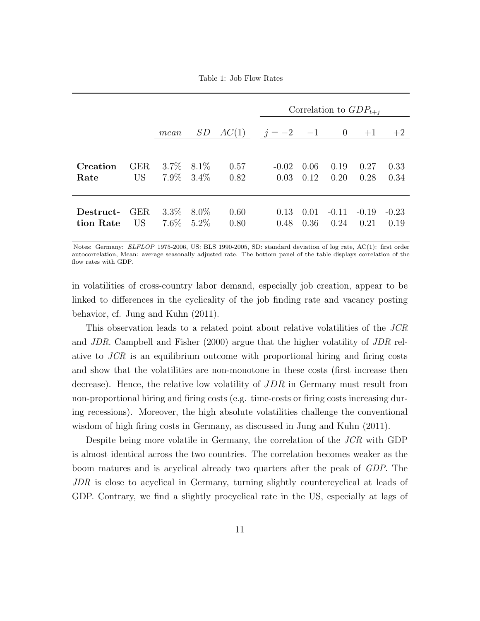Table 1: Job Flow Rates

|           |                 |         |               |       |                 |      |         | Correlation to $GDP_{t+i}$ |         |
|-----------|-----------------|---------|---------------|-------|-----------------|------|---------|----------------------------|---------|
|           |                 | mean    | SD            | AC(1) | $j = -2$ $-1$ 0 |      |         | $+1$                       | $+2$    |
| Creation  | <b>GER</b>      | $3.7\%$ | 8.1\%         | 0.57  | $-0.02$         | 0.06 | 0.19    | 0.27                       | 0.33    |
| Rate      | US <sup>-</sup> |         | $7.9\%$ 3.4\% | 0.82  | 0.03            | 0.12 | 0.20    | 0.28                       | 0.34    |
| Destruct- | <b>GER</b>      | $3.3\%$ | $8.0\%$       | 0.60  | 0.13            | 0.01 | $-0.11$ | $-0.19$                    | $-0.23$ |
| tion Rate | US              |         | $7.6\%$ 5.2\% | 0.80  | 0.48            | 0.36 | 0.24    | 0.21                       | 0.19    |

Notes: Germany: ELFLOP 1975-2006, US: BLS 1990-2005, SD: standard deviation of log rate, AC(1): first order autocorrelation, Mean: average seasonally adjusted rate. The bottom panel of the table displays correlation of the flow rates with GDP.

in volatilities of cross-country labor demand, especially job creation, appear to be linked to differences in the cyclicality of the job finding rate and vacancy posting behavior, cf. Jung and Kuhn (2011).

This observation leads to a related point about relative volatilities of the JCR and JDR. Campbell and Fisher (2000) argue that the higher volatility of JDR relative to JCR is an equilibrium outcome with proportional hiring and firing costs and show that the volatilities are non-monotone in these costs (first increase then decrease). Hence, the relative low volatility of JDR in Germany must result from non-proportional hiring and firing costs (e.g. time-costs or firing costs increasing during recessions). Moreover, the high absolute volatilities challenge the conventional wisdom of high firing costs in Germany, as discussed in Jung and Kuhn (2011).

Despite being more volatile in Germany, the correlation of the JCR with GDP is almost identical across the two countries. The correlation becomes weaker as the boom matures and is acyclical already two quarters after the peak of GDP. The JDR is close to acyclical in Germany, turning slightly countercyclical at leads of GDP. Contrary, we find a slightly procyclical rate in the US, especially at lags of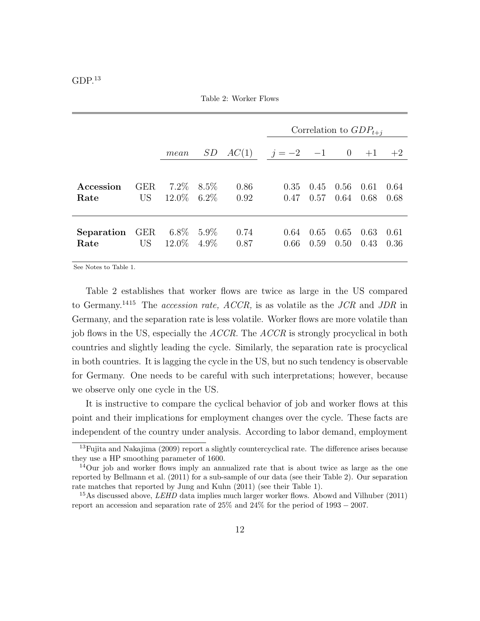|  | I<br>۱ |
|--|--------|
|--|--------|

Table 2: Worker Flows

|                               |                               |                                 |         |                            |              | Correlation to $GDP_{t+i}$ |              |              |              |
|-------------------------------|-------------------------------|---------------------------------|---------|----------------------------|--------------|----------------------------|--------------|--------------|--------------|
|                               |                               | mean                            | SD      | $AC(1)$ $j=-2$ $-1$ 0 $+1$ |              |                            |              |              | $+2$         |
| Accession<br>Rate             | <b>GER</b><br>US <sup>-</sup> | $7.2\%$ 8.5\%<br>$12.0\%$ 6.2\% |         | 0.86<br>0.92               | 0.35<br>0.47 | 0.45<br>0.57               | 0.56<br>0.64 | 0.61<br>0.68 | 0.64<br>0.68 |
| <b>Separation</b> GER<br>Rate | US <sup>-</sup>               | $6.8\%$ 5.9%<br>$12.0\%$        | $4.9\%$ | 0.74<br>0.87               | 0.64<br>0.66 | 0.65<br>0.59               | 0.65<br>0.50 | 0.63<br>0.43 | 0.61<br>0.36 |

See Notes to Table 1.

Table 2 establishes that worker flows are twice as large in the US compared to Germany.<sup>1415</sup> The *accession rate, ACCR*, is as volatile as the  $JCR$  and  $JDR$  in Germany, and the separation rate is less volatile. Worker flows are more volatile than job flows in the US, especially the  $ACCR$ . The  $ACCR$  is strongly procyclical in both countries and slightly leading the cycle. Similarly, the separation rate is procyclical in both countries. It is lagging the cycle in the US, but no such tendency is observable for Germany. One needs to be careful with such interpretations; however, because we observe only one cycle in the US.

It is instructive to compare the cyclical behavior of job and worker flows at this point and their implications for employment changes over the cycle. These facts are independent of the country under analysis. According to labor demand, employment

<sup>&</sup>lt;sup>13</sup>Fujita and Nakajima (2009) report a slightly countercyclical rate. The difference arises because they use a HP smoothing parameter of 1600.

 $14$ Our job and worker flows imply an annualized rate that is about twice as large as the one reported by Bellmann et al. (2011) for a sub-sample of our data (see their Table 2). Our separation rate matches that reported by Jung and Kuhn (2011) (see their Table 1).

<sup>&</sup>lt;sup>15</sup>As discussed above, *LEHD* data implies much larger worker flows. Abowd and Vilhuber (2011) report an accession and separation rate of  $25\%$  and  $24\%$  for the period of 1993 – 2007.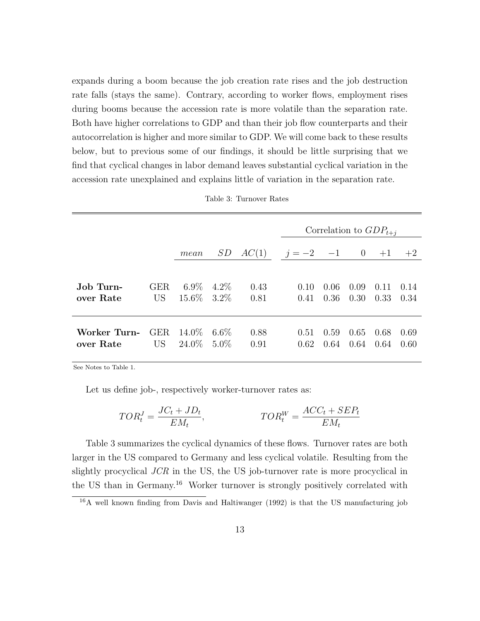expands during a boom because the job creation rate rises and the job destruction rate falls (stays the same). Contrary, according to worker flows, employment rises during booms because the accession rate is more volatile than the separation rate. Both have higher correlations to GDP and than their job flow counterparts and their autocorrelation is higher and more similar to GDP. We will come back to these results below, but to previous some of our findings, it should be little surprising that we find that cyclical changes in labor demand leaves substantial cyclical variation in the accession rate unexplained and explains little of variation in the separation rate.

|              |                 |                |         |       | Correlation to $GDP_{t+i}$ |      |                |      |      |  |
|--------------|-----------------|----------------|---------|-------|----------------------------|------|----------------|------|------|--|
|              |                 | mean           | SD      | AC(1) | $j = -2$ -1                |      | $\overline{0}$ | $+1$ | $+2$ |  |
|              |                 |                |         |       |                            |      |                |      |      |  |
| Job Turn-    | <b>GER</b>      | $6.9\%$        | $4.2\%$ | 0.43  | 0.10                       | 0.06 | 0.09           | 0.11 | 0.14 |  |
| over Rate    | US <sup>-</sup> | $15.6\%$ 3.2\% |         | 0.81  | 0.41                       | 0.36 | 0.30           | 0.33 | 0.34 |  |
|              |                 |                |         |       |                            |      |                |      |      |  |
| Worker Turn- | GER.            | 14.0%          | $6.6\%$ | 0.88  | 0.51                       | 0.59 | 0.65           | 0.68 | 0.69 |  |
| over Rate    | US <sup>-</sup> | 24.0%          | $5.0\%$ | 0.91  | 0.62                       | 0.64 | 0.64           | 0.64 | 0.60 |  |
|              |                 |                |         |       |                            |      |                |      |      |  |

| Table 3: Turnover Rates |  |  |
|-------------------------|--|--|
|-------------------------|--|--|

See Notes to Table 1.

Let us define job-, respectively worker-turnover rates as:

$$
TOR_t^J = \frac{JC_t + JD_t}{EM_t}, \qquad \qquad TOR_t^W = \frac{ACC_t + SEP_t}{EM_t}
$$

Table 3 summarizes the cyclical dynamics of these flows. Turnover rates are both larger in the US compared to Germany and less cyclical volatile. Resulting from the slightly procyclical JCR in the US, the US job-turnover rate is more procyclical in the US than in Germany.<sup>16</sup> Worker turnover is strongly positively correlated with

<sup>16</sup>A well known finding from Davis and Haltiwanger (1992) is that the US manufacturing job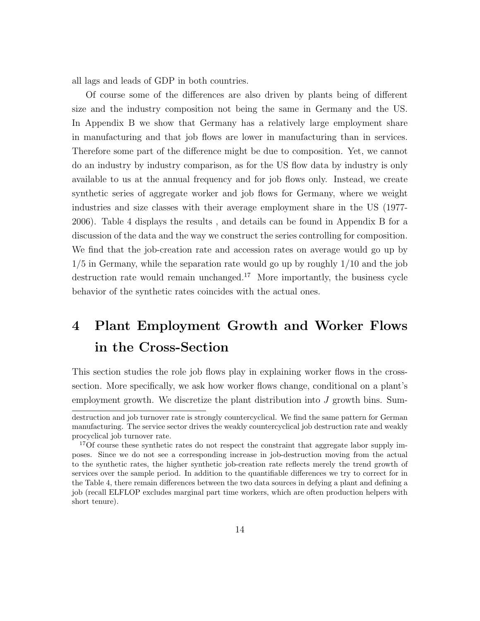all lags and leads of GDP in both countries.

Of course some of the differences are also driven by plants being of different size and the industry composition not being the same in Germany and the US. In Appendix B we show that Germany has a relatively large employment share in manufacturing and that job flows are lower in manufacturing than in services. Therefore some part of the difference might be due to composition. Yet, we cannot do an industry by industry comparison, as for the US flow data by industry is only available to us at the annual frequency and for job flows only. Instead, we create synthetic series of aggregate worker and job flows for Germany, where we weight industries and size classes with their average employment share in the US (1977- 2006). Table 4 displays the results , and details can be found in Appendix B for a discussion of the data and the way we construct the series controlling for composition. We find that the job-creation rate and accession rates on average would go up by 1/5 in Germany, while the separation rate would go up by roughly 1/10 and the job destruction rate would remain unchanged.<sup>17</sup> More importantly, the business cycle behavior of the synthetic rates coincides with the actual ones.

## 4 Plant Employment Growth and Worker Flows in the Cross-Section

This section studies the role job flows play in explaining worker flows in the crosssection. More specifically, we ask how worker flows change, conditional on a plant's employment growth. We discretize the plant distribution into J growth bins. Sum-

destruction and job turnover rate is strongly countercyclical. We find the same pattern for German manufacturing. The service sector drives the weakly countercyclical job destruction rate and weakly procyclical job turnover rate.

<sup>&</sup>lt;sup>17</sup>Of course these synthetic rates do not respect the constraint that aggregate labor supply imposes. Since we do not see a corresponding increase in job-destruction moving from the actual to the synthetic rates, the higher synthetic job-creation rate reflects merely the trend growth of services over the sample period. In addition to the quantifiable differences we try to correct for in the Table 4, there remain differences between the two data sources in defying a plant and defining a job (recall ELFLOP excludes marginal part time workers, which are often production helpers with short tenure).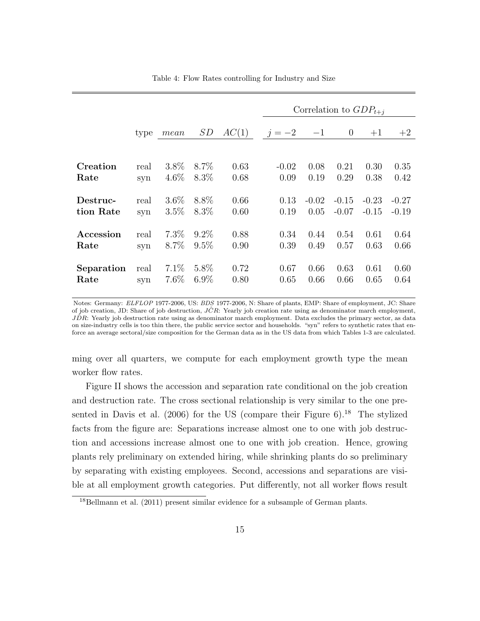|                       |             |                    |                    |              |              |                 | Correlation to $GDP_{t+i}$ |                    |                    |
|-----------------------|-------------|--------------------|--------------------|--------------|--------------|-----------------|----------------------------|--------------------|--------------------|
|                       | type        | $mean$             | SD                 | AC(1)        | $j = -2$ -1  |                 | $\overline{0}$             | $+1$               | $+2$               |
|                       |             |                    |                    |              |              |                 |                            |                    |                    |
| Creation              | real        | $3.8\%$            | $8.7\%$            | 0.63         | $-0.02$      | 0.08            | 0.21                       | 0.30               | 0.35               |
| Rate                  | syn         | $4.6\%$            | $8.3\%$            | 0.68         | 0.09         | 0.19            | 0.29                       | 0.38               | 0.42               |
| Destruc-<br>tion Rate | real<br>syn | $3.6\%$<br>$3.5\%$ | 8.8%<br>$8.3\%$    | 0.66<br>0.60 | 0.13<br>0.19 | $-0.02$<br>0.05 | $-0.15$<br>$-0.07$         | $-0.23$<br>$-0.15$ | $-0.27$<br>$-0.19$ |
| Accession             | real        | $7.3\%$            | $9.2\%$            | 0.88         | 0.34         | 0.44            | 0.54                       | 0.61               | 0.64               |
| Rate                  | syn         | $8.7\%$            | $9.5\%$            | 0.90         | 0.39         | 0.49            | 0.57                       | 0.63               | 0.66               |
| Separation<br>Rate    | real<br>syn | $7.1\%$<br>7.6%    | $5.8\%$<br>$6.9\%$ | 0.72<br>0.80 | 0.67<br>0.65 | 0.66<br>0.66    | 0.63<br>0.66               | 0.61<br>0.65       | 0.60<br>0.64       |

Table 4: Flow Rates controlling for Industry and Size

Notes: Germany: ELFLOP 1977-2006, US: BDS 1977-2006, N: Share of plants, EMP: Share of employment, JC: Share of job creation, JD: Share of job destruction,  $J\hat{C}R$ : Yearly job creation rate using as denominator march employment,  $J\hat{D}R$ : Yearly job destruction rate using as denominator march employment. Data excludes the primary sector, as data on size-industry cells is too thin there, the public service sector and households. "syn" refers to synthetic rates that enforce an average sectoral/size composition for the German data as in the US data from which Tables 1-3 are calculated.

ming over all quarters, we compute for each employment growth type the mean worker flow rates.

Figure II shows the accession and separation rate conditional on the job creation and destruction rate. The cross sectional relationship is very similar to the one presented in Davis et al.  $(2006)$  for the US (compare their Figure 6).<sup>18</sup> The stylized facts from the figure are: Separations increase almost one to one with job destruction and accessions increase almost one to one with job creation. Hence, growing plants rely preliminary on extended hiring, while shrinking plants do so preliminary by separating with existing employees. Second, accessions and separations are visible at all employment growth categories. Put differently, not all worker flows result

<sup>&</sup>lt;sup>18</sup>Bellmann et al. (2011) present similar evidence for a subsample of German plants.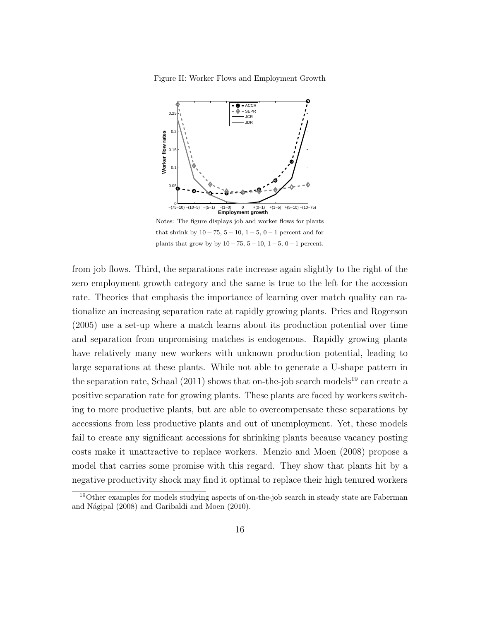Figure II: Worker Flows and Employment Growth



Notes: The figure displays job and worker flows for plants that shrink by  $10 - 75$ ,  $5 - 10$ ,  $1 - 5$ ,  $0 - 1$  percent and for plants that grow by by  $10 - 75$ ,  $5 - 10$ ,  $1 - 5$ ,  $0 - 1$  percent.

from job flows. Third, the separations rate increase again slightly to the right of the zero employment growth category and the same is true to the left for the accession rate. Theories that emphasis the importance of learning over match quality can rationalize an increasing separation rate at rapidly growing plants. Pries and Rogerson (2005) use a set-up where a match learns about its production potential over time and separation from unpromising matches is endogenous. Rapidly growing plants have relatively many new workers with unknown production potential, leading to large separations at these plants. While not able to generate a U-shape pattern in the separation rate, Schaal  $(2011)$  shows that on-the-job search models<sup>19</sup> can create a positive separation rate for growing plants. These plants are faced by workers switching to more productive plants, but are able to overcompensate these separations by accessions from less productive plants and out of unemployment. Yet, these models fail to create any significant accessions for shrinking plants because vacancy posting costs make it unattractive to replace workers. Menzio and Moen (2008) propose a model that carries some promise with this regard. They show that plants hit by a negative productivity shock may find it optimal to replace their high tenured workers

<sup>&</sup>lt;sup>19</sup>Other examples for models studying aspects of on-the-job search in steady state are Faberman and Nágipal (2008) and Garibaldi and Moen (2010).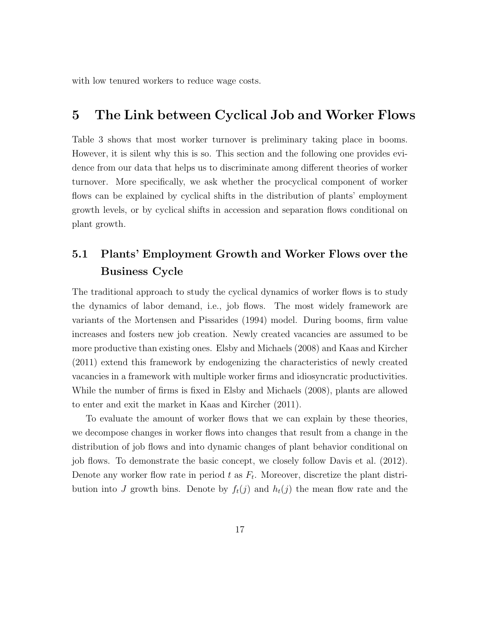with low tenured workers to reduce wage costs.

### 5 The Link between Cyclical Job and Worker Flows

Table 3 shows that most worker turnover is preliminary taking place in booms. However, it is silent why this is so. This section and the following one provides evidence from our data that helps us to discriminate among different theories of worker turnover. More specifically, we ask whether the procyclical component of worker flows can be explained by cyclical shifts in the distribution of plants' employment growth levels, or by cyclical shifts in accession and separation flows conditional on plant growth.

### 5.1 Plants' Employment Growth and Worker Flows over the Business Cycle

The traditional approach to study the cyclical dynamics of worker flows is to study the dynamics of labor demand, i.e., job flows. The most widely framework are variants of the Mortensen and Pissarides (1994) model. During booms, firm value increases and fosters new job creation. Newly created vacancies are assumed to be more productive than existing ones. Elsby and Michaels (2008) and Kaas and Kircher (2011) extend this framework by endogenizing the characteristics of newly created vacancies in a framework with multiple worker firms and idiosyncratic productivities. While the number of firms is fixed in Elsby and Michaels (2008), plants are allowed to enter and exit the market in Kaas and Kircher (2011).

To evaluate the amount of worker flows that we can explain by these theories, we decompose changes in worker flows into changes that result from a change in the distribution of job flows and into dynamic changes of plant behavior conditional on job flows. To demonstrate the basic concept, we closely follow Davis et al. (2012). Denote any worker flow rate in period  $t$  as  $F_t$ . Moreover, discretize the plant distribution into J growth bins. Denote by  $f_t(j)$  and  $h_t(j)$  the mean flow rate and the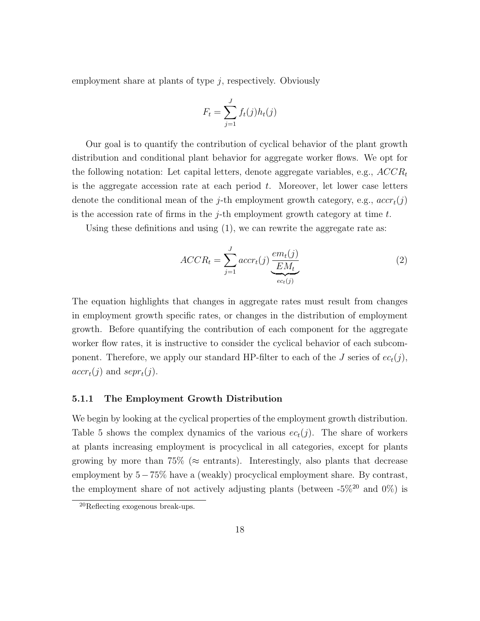employment share at plants of type  $j$ , respectively. Obviously

$$
F_t = \sum_{j=1}^{J} f_t(j)h_t(j)
$$

Our goal is to quantify the contribution of cyclical behavior of the plant growth distribution and conditional plant behavior for aggregate worker flows. We opt for the following notation: Let capital letters, denote aggregate variables, e.g.,  $ACCR_t$ is the aggregate accession rate at each period  $t$ . Moreover, let lower case letters denote the conditional mean of the *j*-th employment growth category, e.g.,  $accr_t(j)$ is the accession rate of firms in the  $j$ -th employment growth category at time  $t$ .

Using these definitions and using (1), we can rewrite the aggregate rate as:

$$
ACCR_t = \sum_{j=1}^{J} accr_t(j) \underbrace{\frac{em_t(j)}{EM_t}}_{ec_t(j)}
$$
(2)

The equation highlights that changes in aggregate rates must result from changes in employment growth specific rates, or changes in the distribution of employment growth. Before quantifying the contribution of each component for the aggregate worker flow rates, it is instructive to consider the cyclical behavior of each subcomponent. Therefore, we apply our standard HP-filter to each of the J series of  $ec_t(j)$ ,  $accr_t(j)$  and  $sepr_t(j)$ .

#### 5.1.1 The Employment Growth Distribution

We begin by looking at the cyclical properties of the employment growth distribution. Table 5 shows the complex dynamics of the various  $ec_t(j)$ . The share of workers at plants increasing employment is procyclical in all categories, except for plants growing by more than 75% ( $\approx$  entrants). Interestingly, also plants that decrease employment by 5−75% have a (weakly) procyclical employment share. By contrast, the employment share of not actively adjusting plants (between  $-5\%^{20}$  and  $0\%$ ) is

<sup>20</sup>Reflecting exogenous break-ups.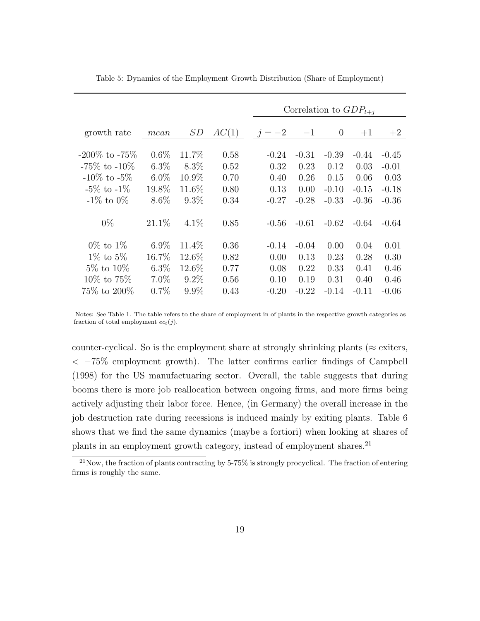|                     |          |         |       |         |         | Correlation to $GDP_{t+i}$ |         |         |
|---------------------|----------|---------|-------|---------|---------|----------------------------|---------|---------|
| growth rate         | mean     | SD      | AC(1) | $j=-2$  | $-1$    | $\theta$                   | $+1$    | $+2$    |
| $-200\%$ to $-75\%$ | $0.6\%$  | 11.7%   | 0.58  | $-0.24$ | $-0.31$ | $-0.39$                    | $-0.44$ | $-0.45$ |
| $-75\%$ to $-10\%$  | $6.3\%$  | $8.3\%$ | 0.52  | 0.32    | 0.23    | 0.12                       | 0.03    | $-0.01$ |
| $-10\%$ to $-5\%$   | $6.0\%$  | 10.9%   | 0.70  | 0.40    | 0.26    | 0.15                       | 0.06    | 0.03    |
| $-5\%$ to $-1\%$    | 19.8%    | 11.6%   | 0.80  | 0.13    | 0.00    | $-0.10$                    | $-0.15$ | $-0.18$ |
| $-1\%$ to $0\%$     | $8.6\%$  | $9.3\%$ | 0.34  | $-0.27$ | $-0.28$ | $-0.33$                    | $-0.36$ | $-0.36$ |
| $0\%$               | $21.1\%$ | $4.1\%$ | 0.85  | $-0.56$ | $-0.61$ | $-0.62$                    | $-0.64$ | $-0.64$ |
| $0\%$ to $1\%$      | $6.9\%$  | 11.4%   | 0.36  | $-0.14$ | $-0.04$ | 0.00                       | 0.04    | 0.01    |
| $1\%$ to $5\%$      | $16.7\%$ | 12.6%   | 0.82  | 0.00    | 0.13    | 0.23                       | 0.28    | 0.30    |
| $5\%$ to $10\%$     | $6.3\%$  | 12.6%   | 0.77  | 0.08    | 0.22    | 0.33                       | 0.41    | 0.46    |
| $10\%$ to $75\%$    | $7.0\%$  | $9.2\%$ | 0.56  | 0.10    | 0.19    | 0.31                       | 0.40    | 0.46    |
| 75\% to 200\%       | 0.7%     | $9.9\%$ | 0.43  | $-0.20$ | $-0.22$ | $-0.14$                    | $-0.11$ | $-0.06$ |

Table 5: Dynamics of the Employment Growth Distribution (Share of Employment)

Notes: See Table 1. The table refers to the share of employment in of plants in the respective growth categories as fraction of total employment  $ec_t(j)$ .

counter-cyclical. So is the employment share at strongly shrinking plants ( $\approx$  exiters, < −75% employment growth). The latter confirms earlier findings of Campbell (1998) for the US manufactuaring sector. Overall, the table suggests that during booms there is more job reallocation between ongoing firms, and more firms being actively adjusting their labor force. Hence, (in Germany) the overall increase in the job destruction rate during recessions is induced mainly by exiting plants. Table 6 shows that we find the same dynamics (maybe a fortiori) when looking at shares of plants in an employment growth category, instead of employment shares.<sup>21</sup>

 $^{21}$ Now, the fraction of plants contracting by 5-75% is strongly procyclical. The fraction of entering firms is roughly the same.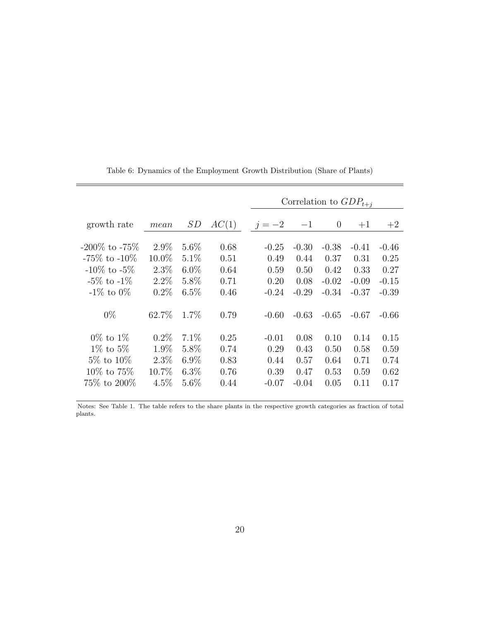|                     |          |         |       | Correlation to $GDP_{t+i}$ |         |          |         |         |  |  |  |  |
|---------------------|----------|---------|-------|----------------------------|---------|----------|---------|---------|--|--|--|--|
| growth rate         | mean     | SD      | AC(1) | $j=-2$                     | $-1$    | $\theta$ | $+1$    | $+2$    |  |  |  |  |
| $-200\%$ to $-75\%$ | $2.9\%$  | $5.6\%$ | 0.68  | $-0.25$                    | $-0.30$ | $-0.38$  | $-0.41$ | $-0.46$ |  |  |  |  |
| $-75\%$ to $-10\%$  | $10.0\%$ | $5.1\%$ | 0.51  | 0.49                       | 0.44    | 0.37     | 0.31    | 0.25    |  |  |  |  |
| $-10\%$ to $-5\%$   | $2.3\%$  | $6.0\%$ | 0.64  | 0.59                       | 0.50    | 0.42     | 0.33    | 0.27    |  |  |  |  |
| $-5\%$ to $-1\%$    | $2.2\%$  | 5.8%    | 0.71  | 0.20                       | 0.08    | $-0.02$  | $-0.09$ | $-0.15$ |  |  |  |  |
| $-1\%$ to $0\%$     | $0.2\%$  | $6.5\%$ | 0.46  | $-0.24$                    | $-0.29$ | $-0.34$  | $-0.37$ | $-0.39$ |  |  |  |  |
| $0\%$               | 62.7%    | $1.7\%$ | 0.79  | $-0.60$                    | $-0.63$ | $-0.65$  | $-0.67$ | $-0.66$ |  |  |  |  |
| $0\%$ to $1\%$      | $0.2\%$  | $7.1\%$ | 0.25  | $-0.01$                    | 0.08    | 0.10     | 0.14    | 0.15    |  |  |  |  |
| $1\%$ to $5\%$      | 1.9%     | $5.8\%$ | 0.74  | 0.29                       | 0.43    | 0.50     | 0.58    | 0.59    |  |  |  |  |
| $5\%$ to $10\%$     | $2.3\%$  | $6.9\%$ | 0.83  | 0.44                       | 0.57    | 0.64     | 0.71    | 0.74    |  |  |  |  |
| $10\%$ to $75\%$    | $10.7\%$ | $6.3\%$ | 0.76  | 0.39                       | 0.47    | 0.53     | 0.59    | 0.62    |  |  |  |  |
| 75\% to 200\%       | $4.5\%$  | $5.6\%$ | 0.44  | $-0.07$                    | $-0.04$ | 0.05     | 0.11    | 0.17    |  |  |  |  |

Table 6: Dynamics of the Employment Growth Distribution (Share of Plants)

Notes: See Table 1. The table refers to the share plants in the respective growth categories as fraction of total plants.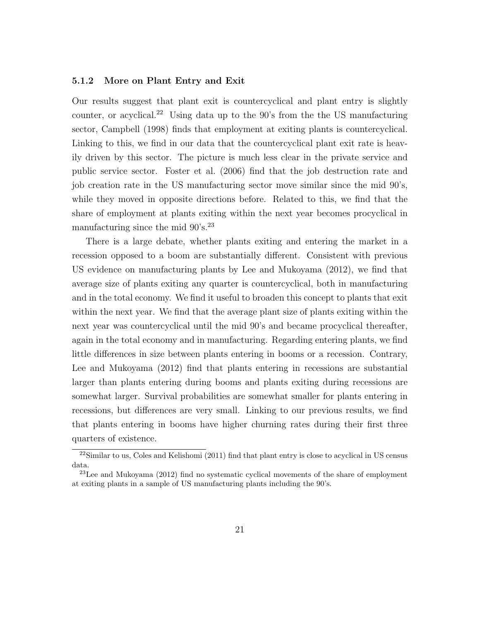#### 5.1.2 More on Plant Entry and Exit

Our results suggest that plant exit is countercyclical and plant entry is slightly counter, or acyclical.<sup>22</sup> Using data up to the  $90$ 's from the the US manufacturing sector, Campbell (1998) finds that employment at exiting plants is countercyclical. Linking to this, we find in our data that the countercyclical plant exit rate is heavily driven by this sector. The picture is much less clear in the private service and public service sector. Foster et al. (2006) find that the job destruction rate and job creation rate in the US manufacturing sector move similar since the mid 90's, while they moved in opposite directions before. Related to this, we find that the share of employment at plants exiting within the next year becomes procyclical in manufacturing since the mid  $90's.^{23}$ 

There is a large debate, whether plants exiting and entering the market in a recession opposed to a boom are substantially different. Consistent with previous US evidence on manufacturing plants by Lee and Mukoyama (2012), we find that average size of plants exiting any quarter is countercyclical, both in manufacturing and in the total economy. We find it useful to broaden this concept to plants that exit within the next year. We find that the average plant size of plants exiting within the next year was countercyclical until the mid 90's and became procyclical thereafter, again in the total economy and in manufacturing. Regarding entering plants, we find little differences in size between plants entering in booms or a recession. Contrary, Lee and Mukoyama (2012) find that plants entering in recessions are substantial larger than plants entering during booms and plants exiting during recessions are somewhat larger. Survival probabilities are somewhat smaller for plants entering in recessions, but differences are very small. Linking to our previous results, we find that plants entering in booms have higher churning rates during their first three quarters of existence.

 $22$ Similar to us, Coles and Kelishomi (2011) find that plant entry is close to acyclical in US census data.

<sup>23</sup>Lee and Mukoyama (2012) find no systematic cyclical movements of the share of employment at exiting plants in a sample of US manufacturing plants including the 90's.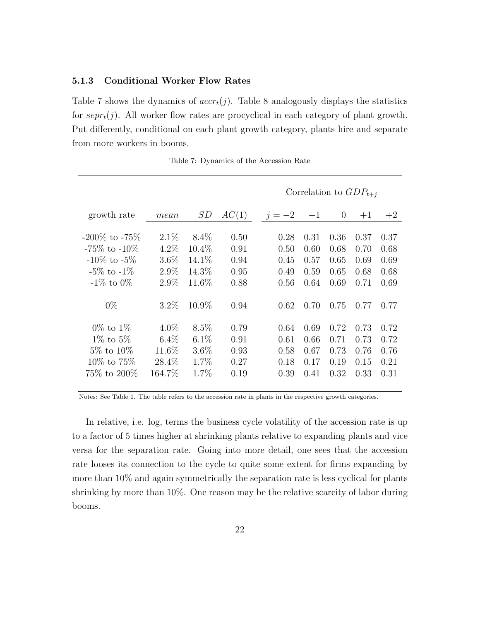#### 5.1.3 Conditional Worker Flow Rates

Table 7 shows the dynamics of  $accr_t(j)$ . Table 8 analogously displays the statistics for  $sepr_t(j)$ . All worker flow rates are procyclical in each category of plant growth. Put differently, conditional on each plant growth category, plants hire and separate from more workers in booms.

|                     |         |          |       | Correlation to $GDP_{t+i}$ |      |                |      |      |  |  |
|---------------------|---------|----------|-------|----------------------------|------|----------------|------|------|--|--|
| growth rate         | mean    | SD       | AC(1) | $j=-2$                     | $-1$ | $\overline{0}$ | $+1$ | $+2$ |  |  |
| $-200\%$ to $-75\%$ | $2.1\%$ | $8.4\%$  | 0.50  | 0.28                       | 0.31 | 0.36           | 0.37 | 0.37 |  |  |
| $-75\%$ to $-10\%$  | $4.2\%$ | $10.4\%$ | 0.91  | 0.50                       | 0.60 | 0.68           | 0.70 | 0.68 |  |  |
| $-10\%$ to $-5\%$   | $3.6\%$ | 14.1\%   | 0.94  | 0.45                       | 0.57 | 0.65           | 0.69 | 0.69 |  |  |
| $-5\%$ to $-1\%$    | $2.9\%$ | 14.3%    | 0.95  | 0.49                       | 0.59 | 0.65           | 0.68 | 0.68 |  |  |
| $-1\%$ to 0%        | $2.9\%$ | 11.6%    | 0.88  | 0.56                       | 0.64 | 0.69           | 0.71 | 0.69 |  |  |
| $0\%$               | $3.2\%$ | 10.9%    | 0.94  | 0.62                       | 0.70 | 0.75           | 0.77 | 0.77 |  |  |
| $0\%$ to $1\%$      | $4.0\%$ | 8.5%     | 0.79  | 0.64                       | 0.69 | 0.72           | 0.73 | 0.72 |  |  |
| $1\%$ to $5\%$      | $6.4\%$ | $6.1\%$  | 0.91  | 0.61                       | 0.66 | 0.71           | 0.73 | 0.72 |  |  |
| $5\%$ to $10\%$     | 11.6%   | 3.6%     | 0.93  | 0.58                       | 0.67 | 0.73           | 0.76 | 0.76 |  |  |
| $10\%$ to $75\%$    | 28.4%   | 1.7%     | 0.27  | 0.18                       | 0.17 | 0.19           | 0.15 | 0.21 |  |  |
| 75\% to 200\%       | 164.7%  | 1.7%     | 0.19  | 0.39                       | 0.41 | 0.32           | 0.33 | 0.31 |  |  |

Table 7: Dynamics of the Accession Rate

Notes: See Table 1. The table refers to the accession rate in plants in the respective growth categories.

In relative, i.e. log, terms the business cycle volatility of the accession rate is up to a factor of 5 times higher at shrinking plants relative to expanding plants and vice versa for the separation rate. Going into more detail, one sees that the accession rate looses its connection to the cycle to quite some extent for firms expanding by more than 10% and again symmetrically the separation rate is less cyclical for plants shrinking by more than 10%. One reason may be the relative scarcity of labor during booms.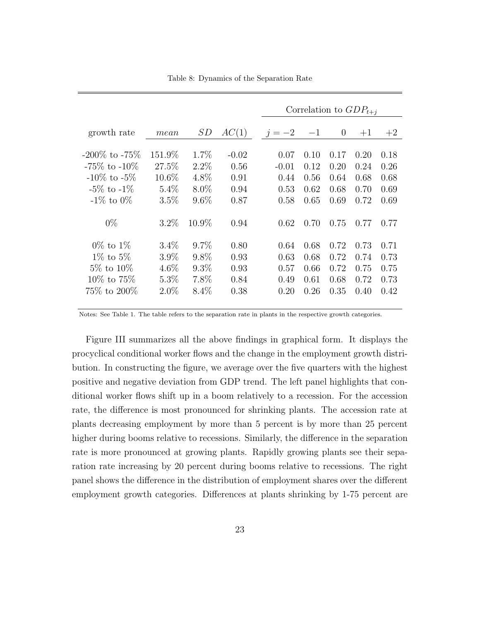|                     |         |         |         |         |      |      |          | Correlation to $GDP_{t+i}$ |      |
|---------------------|---------|---------|---------|---------|------|------|----------|----------------------------|------|
| growth rate         | mean    | SD      | AC(1)   | $j=-2$  |      | $-1$ | $\theta$ | $+1$                       | $+2$ |
| $-200\%$ to $-75\%$ | 151.9%  | $1.7\%$ | $-0.02$ |         | 0.07 | 0.10 | 0.17     | 0.20                       | 0.18 |
| $-75\%$ to $-10\%$  | 27.5%   | $2.2\%$ | 0.56    | $-0.01$ |      | 0.12 | 0.20     | 0.24                       | 0.26 |
| $-10\%$ to $-5\%$   | 10.6%   | 4.8%    | 0.91    |         | 0.44 | 0.56 | 0.64     | 0.68                       | 0.68 |
| $-5\%$ to $-1\%$    | $5.4\%$ | $8.0\%$ | 0.94    |         | 0.53 | 0.62 | 0.68     | 0.70                       | 0.69 |
| $-1\%$ to $0\%$     | 3.5%    | $9.6\%$ | 0.87    |         | 0.58 | 0.65 | 0.69     | 0.72                       | 0.69 |
| $0\%$               | $3.2\%$ | 10.9%   | 0.94    |         | 0.62 | 0.70 | 0.75     | 0.77                       | 0.77 |
| $0\%$ to $1\%$      | $3.4\%$ | $9.7\%$ | 0.80    |         | 0.64 | 0.68 | 0.72     | 0.73                       | 0.71 |
| $1\%$ to $5\%$      | $3.9\%$ | $9.8\%$ | 0.93    |         | 0.63 | 0.68 | 0.72     | 0.74                       | 0.73 |
| $5\%$ to $10\%$     | $4.6\%$ | $9.3\%$ | 0.93    |         | 0.57 | 0.66 | 0.72     | 0.75                       | 0.75 |
| $10\%$ to $75\%$    | $5.3\%$ | 7.8%    | 0.84    |         | 0.49 | 0.61 | 0.68     | 0.72                       | 0.73 |
| $75\%$ to $200\%$   | $2.0\%$ | $8.4\%$ | 0.38    |         | 0.20 | 0.26 | 0.35     | 0.40                       | 0.42 |

Table 8: Dynamics of the Separation Rate

Notes: See Table 1. The table refers to the separation rate in plants in the respective growth categories.

Figure III summarizes all the above findings in graphical form. It displays the procyclical conditional worker flows and the change in the employment growth distribution. In constructing the figure, we average over the five quarters with the highest positive and negative deviation from GDP trend. The left panel highlights that conditional worker flows shift up in a boom relatively to a recession. For the accession rate, the difference is most pronounced for shrinking plants. The accession rate at plants decreasing employment by more than 5 percent is by more than 25 percent higher during booms relative to recessions. Similarly, the difference in the separation rate is more pronounced at growing plants. Rapidly growing plants see their separation rate increasing by 20 percent during booms relative to recessions. The right panel shows the difference in the distribution of employment shares over the different employment growth categories. Differences at plants shrinking by 1-75 percent are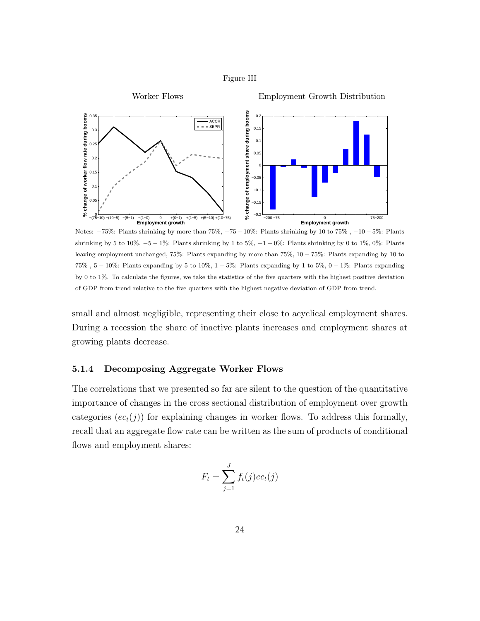



Notes: −75%: Plants shrinking by more than 75%, −75 − 10%: Plants shrinking by 10 to 75% , −10 − 5%: Plants shrinking by 5 to 10%,  $-5-1\%$ : Plants shrinking by 1 to 5%,  $-1-0\%$ : Plants shrinking by 0 to 1%, 0%: Plants leaving employment unchanged, 75%: Plants expanding by more than 75%, 10 − 75%: Plants expanding by 10 to  $75\%$ ,  $5-10\%$ : Plants expanding by 5 to 10%,  $1-5\%$ : Plants expanding by 1 to 5%,  $0-1\%$ : Plants expanding by 0 to 1%. To calculate the figures, we take the statistics of the five quarters with the highest positive deviation of GDP from trend relative to the five quarters with the highest negative deviation of GDP from trend.

small and almost negligible, representing their close to acyclical employment shares. During a recession the share of inactive plants increases and employment shares at growing plants decrease.

#### 5.1.4 Decomposing Aggregate Worker Flows

The correlations that we presented so far are silent to the question of the quantitative importance of changes in the cross sectional distribution of employment over growth categories  $(ec_t(j))$  for explaining changes in worker flows. To address this formally, recall that an aggregate flow rate can be written as the sum of products of conditional flows and employment shares:

$$
F_t = \sum_{j=1}^{J} f_t(j) e c_t(j)
$$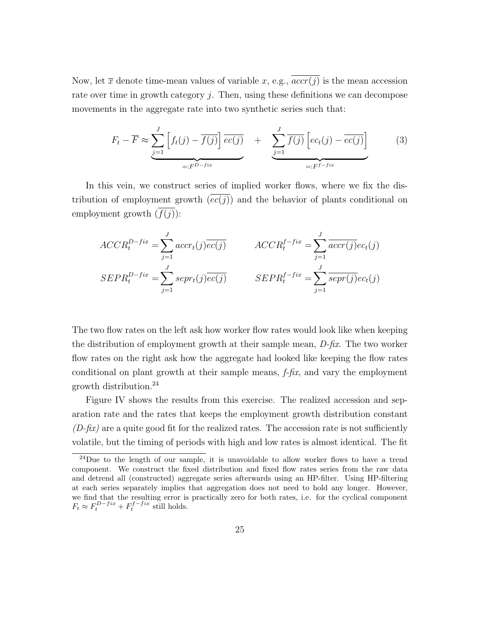Now, let  $\bar{x}$  denote time-mean values of variable x, e.g.,  $\overline{accr(j)}$  is the mean accession rate over time in growth category  $j$ . Then, using these definitions we can decompose movements in the aggregate rate into two synthetic series such that:

$$
F_t - \overline{F} \approx \underbrace{\sum_{j=1}^J \left[ f_t(j) - \overline{f(j)} \right] \overline{ec(j)}}_{=:F^{D-fix}} + \underbrace{\sum_{j=1}^J \overline{f(j)} \left[ ec_t(j) - \overline{ec(j)} \right]}_{=:F^{f-fix}} \tag{3}
$$

In this vein, we construct series of implied worker flows, where we fix the distribution of employment growth  $\left(ec(j)\right)$  and the behavior of plants conditional on employment growth  $(\overline{f(j)})$ :

$$
ACCR_t^{D-fix} = \sum_{j=1}^{J} accr_t(j)\overline{ec(j)} \qquad ACCR_t^{f-fix} = \sum_{j=1}^{J} \overline{accr(j)}ec_t(j)
$$
  

$$
SEPR_t^{D-fix} = \sum_{j=1}^{J} sepr_t(j)\overline{ec(j)} \qquad SEPR_t^{f-fix} = \sum_{j=1}^{J} \overline{sepr(j)}ec_t(j)
$$

The two flow rates on the left ask how worker flow rates would look like when keeping the distribution of employment growth at their sample mean,  $D$ -fix. The two worker flow rates on the right ask how the aggregate had looked like keeping the flow rates conditional on plant growth at their sample means,  $f$ -fix, and vary the employment growth distribution.<sup>24</sup>

Figure IV shows the results from this exercise. The realized accession and separation rate and the rates that keeps the employment growth distribution constant  $(D-fix)$  are a quite good fit for the realized rates. The accession rate is not sufficiently volatile, but the timing of periods with high and low rates is almost identical. The fit

 $^{24}$ Due to the length of our sample, it is unavoidable to allow worker flows to have a trend component. We construct the fixed distribution and fixed flow rates series from the raw data and detrend all (constructed) aggregate series afterwards using an HP-filter. Using HP-filtering at each series separately implies that aggregation does not need to hold any longer. However, we find that the resulting error is practically zero for both rates, i.e. for the cyclical component  $F_t \approx F_t^{D-fix} + F_t^{f-fix}$  still holds.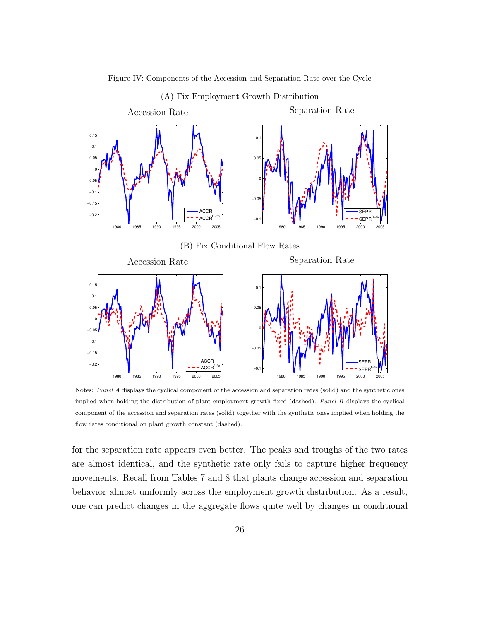

Figure IV: Components of the Accession and Separation Rate over the Cycle

Notes: Panel A displays the cyclical component of the accession and separation rates (solid) and the synthetic ones implied when holding the distribution of plant employment growth fixed (dashed). Panel B displays the cyclical component of the accession and separation rates (solid) together with the synthetic ones implied when holding the flow rates conditional on plant growth constant (dashed).

for the separation rate appears even better. The peaks and troughs of the two rates are almost identical, and the synthetic rate only fails to capture higher frequency movements. Recall from Tables 7 and 8 that plants change accession and separation behavior almost uniformly across the employment growth distribution. As a result, one can predict changes in the aggregate flows quite well by changes in conditional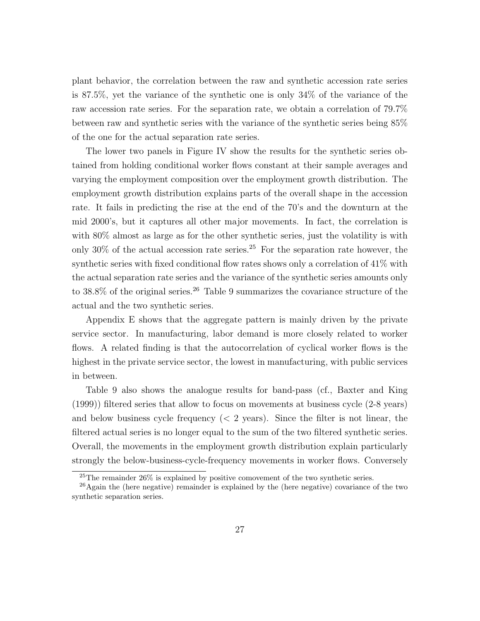plant behavior, the correlation between the raw and synthetic accession rate series is 87.5%, yet the variance of the synthetic one is only 34% of the variance of the raw accession rate series. For the separation rate, we obtain a correlation of 79.7% between raw and synthetic series with the variance of the synthetic series being 85% of the one for the actual separation rate series.

The lower two panels in Figure IV show the results for the synthetic series obtained from holding conditional worker flows constant at their sample averages and varying the employment composition over the employment growth distribution. The employment growth distribution explains parts of the overall shape in the accession rate. It fails in predicting the rise at the end of the 70's and the downturn at the mid 2000's, but it captures all other major movements. In fact, the correlation is with 80% almost as large as for the other synthetic series, just the volatility is with only  $30\%$  of the actual accession rate series.<sup>25</sup> For the separation rate however, the synthetic series with fixed conditional flow rates shows only a correlation of 41% with the actual separation rate series and the variance of the synthetic series amounts only to  $38.8\%$  of the original series.<sup>26</sup> Table 9 summarizes the covariance structure of the actual and the two synthetic series.

Appendix E shows that the aggregate pattern is mainly driven by the private service sector. In manufacturing, labor demand is more closely related to worker flows. A related finding is that the autocorrelation of cyclical worker flows is the highest in the private service sector, the lowest in manufacturing, with public services in between.

Table 9 also shows the analogue results for band-pass (cf., Baxter and King (1999)) filtered series that allow to focus on movements at business cycle (2-8 years) and below business cycle frequency  $(< 2$  years). Since the filter is not linear, the filtered actual series is no longer equal to the sum of the two filtered synthetic series. Overall, the movements in the employment growth distribution explain particularly strongly the below-business-cycle-frequency movements in worker flows. Conversely

<sup>25</sup>The remainder 26% is explained by positive comovement of the two synthetic series.

<sup>26</sup>Again the (here negative) remainder is explained by the (here negative) covariance of the two synthetic separation series.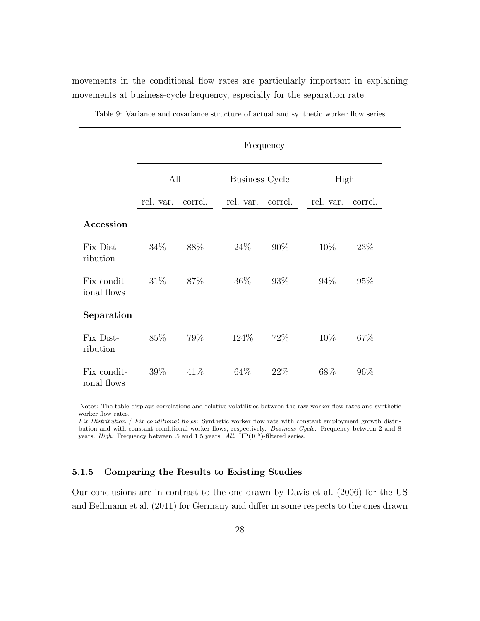movements in the conditional flow rates are particularly important in explaining movements at business-cycle frequency, especially for the separation rate.

|                            |           |         |                       | Frequency |           |         |
|----------------------------|-----------|---------|-----------------------|-----------|-----------|---------|
|                            | All       |         | <b>Business Cycle</b> |           | High      |         |
|                            | rel. var. | correl. | rel. var.             | correl.   | rel. var. | correl. |
| Accession                  |           |         |                       |           |           |         |
| Fix Dist-<br>ribution      | 34\%      | 88\%    | 24%                   | 90%       | 10%       | 23%     |
| Fix condit-<br>ional flows | 31%       | 87\%    | 36\%                  | 93%       | 94%       | 95%     |
| Separation                 |           |         |                       |           |           |         |
| Fix Dist-<br>ribution      | 85%       | 79%     | 124\%                 | 72%       | 10%       | 67%     |
| Fix condit-<br>ional flows | 39%       | 41\%    | 64\%                  | 22%       | 68%       | 96%     |

Table 9: Variance and covariance structure of actual and synthetic worker flow series

Notes: The table displays correlations and relative volatilities between the raw worker flow rates and synthetic worker flow rates.

Fix Distribution / Fix conditional flows: Synthetic worker flow rate with constant employment growth distribution and with constant conditional worker flows, respectively. Business Cycle: Frequency between 2 and 8 years. *High*: Frequency between .5 and 1.5 years. All:  $HP(10^5)$ -filtered series.

#### 5.1.5 Comparing the Results to Existing Studies

Our conclusions are in contrast to the one drawn by Davis et al. (2006) for the US and Bellmann et al. (2011) for Germany and differ in some respects to the ones drawn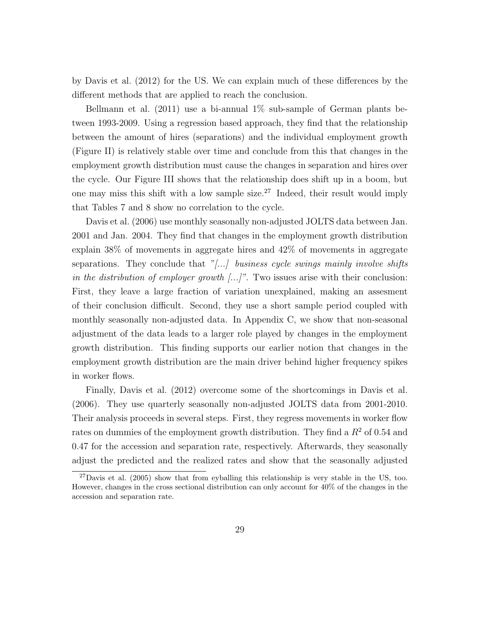by Davis et al. (2012) for the US. We can explain much of these differences by the different methods that are applied to reach the conclusion.

Bellmann et al.  $(2011)$  use a bi-annual 1% sub-sample of German plants between 1993-2009. Using a regression based approach, they find that the relationship between the amount of hires (separations) and the individual employment growth (Figure II) is relatively stable over time and conclude from this that changes in the employment growth distribution must cause the changes in separation and hires over the cycle. Our Figure III shows that the relationship does shift up in a boom, but one may miss this shift with a low sample size.<sup>27</sup> Indeed, their result would imply that Tables 7 and 8 show no correlation to the cycle.

Davis et al. (2006) use monthly seasonally non-adjusted JOLTS data between Jan. 2001 and Jan. 2004. They find that changes in the employment growth distribution explain 38% of movements in aggregate hires and 42% of movements in aggregate separations. They conclude that  $\sqrt[n]{\ldots}$  business cycle swings mainly involve shifts in the distribution of employer growth  $[\dots]^n$ . Two issues arise with their conclusion: First, they leave a large fraction of variation unexplained, making an assesment of their conclusion difficult. Second, they use a short sample period coupled with monthly seasonally non-adjusted data. In Appendix C, we show that non-seasonal adjustment of the data leads to a larger role played by changes in the employment growth distribution. This finding supports our earlier notion that changes in the employment growth distribution are the main driver behind higher frequency spikes in worker flows.

Finally, Davis et al. (2012) overcome some of the shortcomings in Davis et al. (2006). They use quarterly seasonally non-adjusted JOLTS data from 2001-2010. Their analysis proceeds in several steps. First, they regress movements in worker flow rates on dummies of the employment growth distribution. They find a  $R<sup>2</sup>$  of 0.54 and 0.47 for the accession and separation rate, respectively. Afterwards, they seasonally adjust the predicted and the realized rates and show that the seasonally adjusted

 $^{27}$ Davis et al. (2005) show that from eyballing this relationship is very stable in the US, too. However, changes in the cross sectional distribution can only account for 40% of the changes in the accession and separation rate.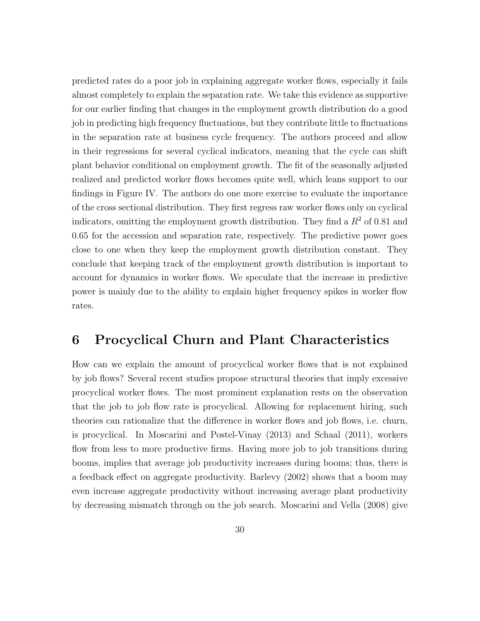predicted rates do a poor job in explaining aggregate worker flows, especially it fails almost completely to explain the separation rate. We take this evidence as supportive for our earlier finding that changes in the employment growth distribution do a good job in predicting high frequency fluctuations, but they contribute little to fluctuations in the separation rate at business cycle frequency. The authors proceed and allow in their regressions for several cyclical indicators, meaning that the cycle can shift plant behavior conditional on employment growth. The fit of the seasonally adjusted realized and predicted worker flows becomes quite well, which leans support to our findings in Figure IV. The authors do one more exercise to evaluate the importance of the cross sectional distribution. They first regress raw worker flows only on cyclical indicators, omitting the employment growth distribution. They find a  $R<sup>2</sup>$  of 0.81 and 0.65 for the accession and separation rate, respectively. The predictive power goes close to one when they keep the employment growth distribution constant. They conclude that keeping track of the employment growth distribution is important to account for dynamics in worker flows. We speculate that the increase in predictive power is mainly due to the ability to explain higher frequency spikes in worker flow rates.

### 6 Procyclical Churn and Plant Characteristics

How can we explain the amount of procyclical worker flows that is not explained by job flows? Several recent studies propose structural theories that imply excessive procyclical worker flows. The most prominent explanation rests on the observation that the job to job flow rate is procyclical. Allowing for replacement hiring, such theories can rationalize that the difference in worker flows and job flows, i.e. churn, is procyclical. In Moscarini and Postel-Vinay (2013) and Schaal (2011), workers flow from less to more productive firms. Having more job to job transitions during booms, implies that average job productivity increases during booms; thus, there is a feedback effect on aggregate productivity. Barlevy (2002) shows that a boom may even increase aggregate productivity without increasing average plant productivity by decreasing mismatch through on the job search. Moscarini and Vella (2008) give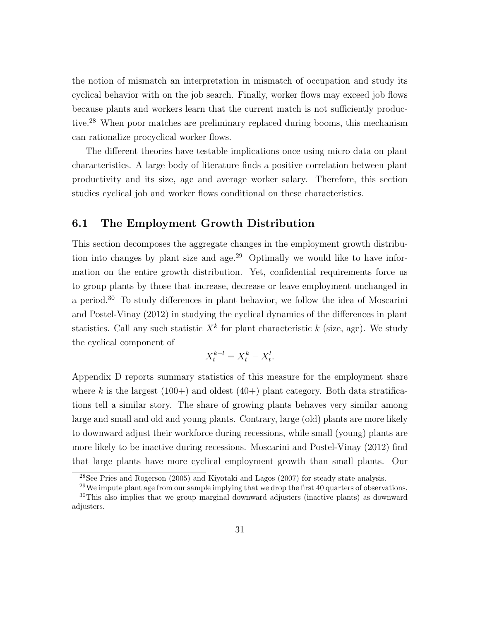the notion of mismatch an interpretation in mismatch of occupation and study its cyclical behavior with on the job search. Finally, worker flows may exceed job flows because plants and workers learn that the current match is not sufficiently productive.<sup>28</sup> When poor matches are preliminary replaced during booms, this mechanism can rationalize procyclical worker flows.

The different theories have testable implications once using micro data on plant characteristics. A large body of literature finds a positive correlation between plant productivity and its size, age and average worker salary. Therefore, this section studies cyclical job and worker flows conditional on these characteristics.

#### 6.1 The Employment Growth Distribution

This section decomposes the aggregate changes in the employment growth distribution into changes by plant size and age.<sup>29</sup> Optimally we would like to have information on the entire growth distribution. Yet, confidential requirements force us to group plants by those that increase, decrease or leave employment unchanged in a period.<sup>30</sup> To study differences in plant behavior, we follow the idea of Moscarini and Postel-Vinay (2012) in studying the cyclical dynamics of the differences in plant statistics. Call any such statistic  $X^k$  for plant characteristic k (size, age). We study the cyclical component of

$$
X_t^{k-l} = X_t^k - X_t^l.
$$

Appendix D reports summary statistics of this measure for the employment share where k is the largest  $(100+)$  and oldest  $(40+)$  plant category. Both data stratifications tell a similar story. The share of growing plants behaves very similar among large and small and old and young plants. Contrary, large (old) plants are more likely to downward adjust their workforce during recessions, while small (young) plants are more likely to be inactive during recessions. Moscarini and Postel-Vinay (2012) find that large plants have more cyclical employment growth than small plants. Our

<sup>28</sup>See Pries and Rogerson (2005) and Kiyotaki and Lagos (2007) for steady state analysis.

 $29$ We impute plant age from our sample implying that we drop the first 40 quarters of observations. <sup>30</sup>This also implies that we group marginal downward adjusters (inactive plants) as downward adjusters.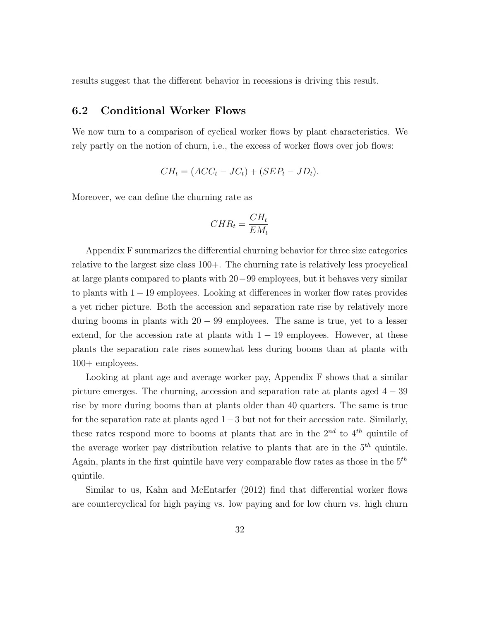results suggest that the different behavior in recessions is driving this result.

#### 6.2 Conditional Worker Flows

We now turn to a comparison of cyclical worker flows by plant characteristics. We rely partly on the notion of churn, i.e., the excess of worker flows over job flows:

$$
CH_t = (ACC_t - JC_t) + (SEP_t - JD_t).
$$

Moreover, we can define the churning rate as

$$
CHR_t = \frac{CH_t}{EM_t}
$$

Appendix F summarizes the differential churning behavior for three size categories relative to the largest size class 100+. The churning rate is relatively less procyclical at large plants compared to plants with 20−99 employees, but it behaves very similar to plants with 1−19 employees. Looking at differences in worker flow rates provides a yet richer picture. Both the accession and separation rate rise by relatively more during booms in plants with  $20 - 99$  employees. The same is true, yet to a lesser extend, for the accession rate at plants with  $1 - 19$  employees. However, at these plants the separation rate rises somewhat less during booms than at plants with 100+ employees.

Looking at plant age and average worker pay, Appendix F shows that a similar picture emerges. The churning, accession and separation rate at plants aged  $4 - 39$ rise by more during booms than at plants older than 40 quarters. The same is true for the separation rate at plants aged  $1-3$  but not for their accession rate. Similarly, these rates respond more to booms at plants that are in the  $2^{nd}$  to  $4^{th}$  quintile of the average worker pay distribution relative to plants that are in the  $5<sup>th</sup>$  quintile. Again, plants in the first quintile have very comparable flow rates as those in the  $5<sup>th</sup>$ quintile.

Similar to us, Kahn and McEntarfer (2012) find that differential worker flows are countercyclical for high paying vs. low paying and for low churn vs. high churn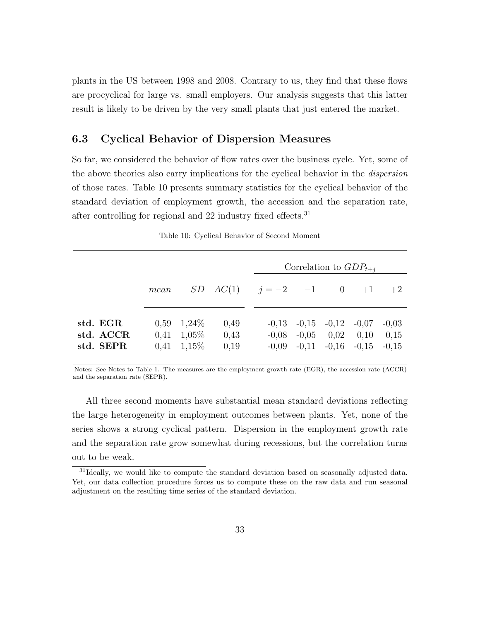plants in the US between 1998 and 2008. Contrary to us, they find that these flows are procyclical for large vs. small employers. Our analysis suggests that this latter result is likely to be driven by the very small plants that just entered the market.

#### 6.3 Cyclical Behavior of Dispersion Measures

So far, we considered the behavior of flow rates over the business cycle. Yet, some of the above theories also carry implications for the cyclical behavior in the *dispersion* of those rates. Table 10 presents summary statistics for the cyclical behavior of the standard deviation of employment growth, the accession and the separation rate, after controlling for regional and 22 industry fixed effects.<sup>31</sup>

|                                    |      |                                                                   |                                              |  | Correlation to $GDP_{t+i}$                                                                                  |                 |
|------------------------------------|------|-------------------------------------------------------------------|----------------------------------------------|--|-------------------------------------------------------------------------------------------------------------|-----------------|
|                                    | mean |                                                                   | $SD \quad AC(1)$ $j = -2$ $-1$ $0$ $+1$ $+2$ |  |                                                                                                             |                 |
| std. EGR<br>std. ACCR<br>std. SEPR |      | $0.59 \quad 1.24\%$<br>$0,41 \quad 1,05\%$<br>$0,41 \quad 1,15\%$ | 0.49<br>0,43<br>0,19                         |  | $-0.13$ $-0.15$ $-0.12$ $-0.07$<br>$-0.08$ $-0.05$ $0.02$ $0.10$<br>$-0.09$ $-0.11$ $-0.16$ $-0.15$ $-0.15$ | $-0,03$<br>0,15 |

Table 10: Cyclical Behavior of Second Moment

Notes: See Notes to Table 1. The measures are the employment growth rate (EGR), the accession rate (ACCR) and the separation rate (SEPR).

All three second moments have substantial mean standard deviations reflecting the large heterogeneity in employment outcomes between plants. Yet, none of the series shows a strong cyclical pattern. Dispersion in the employment growth rate and the separation rate grow somewhat during recessions, but the correlation turns out to be weak.

<sup>&</sup>lt;sup>31</sup>Ideally, we would like to compute the standard deviation based on seasonally adjusted data. Yet, our data collection procedure forces us to compute these on the raw data and run seasonal adjustment on the resulting time series of the standard deviation.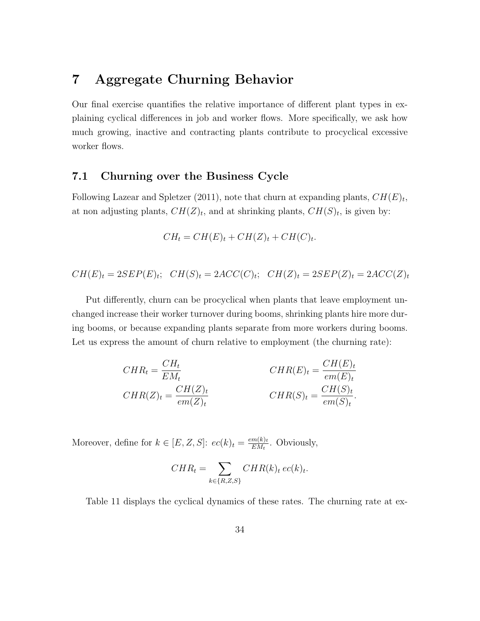### 7 Aggregate Churning Behavior

Our final exercise quantifies the relative importance of different plant types in explaining cyclical differences in job and worker flows. More specifically, we ask how much growing, inactive and contracting plants contribute to procyclical excessive worker flows.

#### 7.1 Churning over the Business Cycle

Following Lazear and Spletzer (2011), note that churn at expanding plants,  $CH(E)_t$ , at non adjusting plants,  $CH(Z)_t$ , and at shrinking plants,  $CH(S)_t$ , is given by:

$$
CH_t = CH(E)_t + CH(Z)_t + CH(C)_t.
$$

$$
CH(E)_t = 2SEP(E)_t; \quad CH(S)_t = 2ACC(C)_t; \quad CH(Z)_t = 2SEP(Z)_t = 2ACC(Z)_t
$$

Put differently, churn can be procyclical when plants that leave employment unchanged increase their worker turnover during booms, shrinking plants hire more during booms, or because expanding plants separate from more workers during booms. Let us express the amount of churn relative to employment (the churning rate):

$$
CHR_t = \frac{CH_t}{EM_t}
$$
  
\n
$$
CHR(Z)_t = \frac{CH(Z)_t}{em(Z)_t}
$$
  
\n
$$
CHR(S)_t = \frac{CH(S)_t}{em(S)_t}.
$$

Moreover, define for  $k \in [E, Z, S]$ :  $ec(k)_t = \frac{em(k)_t}{EM_t}$  $\frac{m(k)t}{EM_t}$ . Obviously,

$$
CHR_t = \sum_{k \in \{R, Z, S\}} CHR(k)_t \, ec(k)_t.
$$

Table 11 displays the cyclical dynamics of these rates. The churning rate at ex-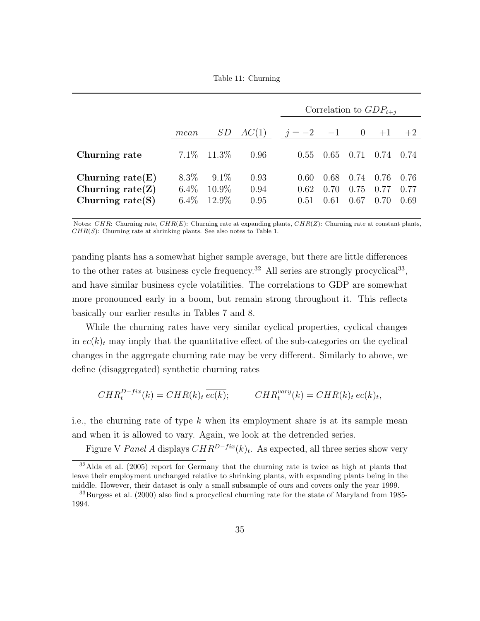Table 11: Churning

|                                                                   |                               |                              |                      | Correlation to $GDP_{t+i}$ |                      |                      |                      |                      |
|-------------------------------------------------------------------|-------------------------------|------------------------------|----------------------|----------------------------|----------------------|----------------------|----------------------|----------------------|
|                                                                   | mean                          | SD                           | AC(1)                | $j = -2$ $-1$ 0            |                      |                      | $+1$                 | $+2$                 |
| Churning rate                                                     |                               | $7.1\%$ 11.3\%               | 0.96                 | 0.55                       | 0.65                 | 0.71                 | 0.74                 | (0.74)               |
| Churning rate $(E)$<br>Churning rate $(Z)$<br>Churning rate $(S)$ | $8.3\%$<br>$6.4\%$<br>$6.4\%$ | $9.1\%$<br>$10.9\%$<br>12.9% | 0.93<br>0.94<br>0.95 | 0.60<br>0.62<br>0.51       | 0.68<br>0.70<br>0.61 | 0.74<br>0.75<br>0.67 | 0.76<br>0.77<br>0.70 | 0.76<br>0.77<br>0.69 |

Notes: CHR: Churning rate,  $CHR(E)$ : Churning rate at expanding plants,  $CHR(Z)$ : Churning rate at constant plants,  $CHR(S)$ : Churning rate at shrinking plants. See also notes to Table 1.

panding plants has a somewhat higher sample average, but there are little differences to the other rates at business cycle frequency.<sup>32</sup> All series are strongly procyclical<sup>33</sup>, and have similar business cycle volatilities. The correlations to GDP are somewhat more pronounced early in a boom, but remain strong throughout it. This reflects basically our earlier results in Tables 7 and 8.

While the churning rates have very similar cyclical properties, cyclical changes in  $ec(k)<sub>t</sub>$  may imply that the quantitative effect of the sub-categories on the cyclical changes in the aggregate churning rate may be very different. Similarly to above, we define (disaggregated) synthetic churning rates

$$
CHR_t^{D-fix}(k) = CHR(k)_t \overline{ec(k)};
$$
 
$$
CHR_t^{vary}(k) = CHR(k)_t \overline{ec(k)_t},
$$

i.e., the churning rate of type  $k$  when its employment share is at its sample mean and when it is allowed to vary. Again, we look at the detrended series.

Figure V Panel A displays  $CHR^{D-fix}(k)_t$ . As expected, all three series show very

 $32$ Alda et al. (2005) report for Germany that the churning rate is twice as high at plants that leave their employment unchanged relative to shrinking plants, with expanding plants being in the middle. However, their dataset is only a small subsample of ours and covers only the year 1999.

<sup>33</sup>Burgess et al. (2000) also find a procyclical churning rate for the state of Maryland from 1985- 1994.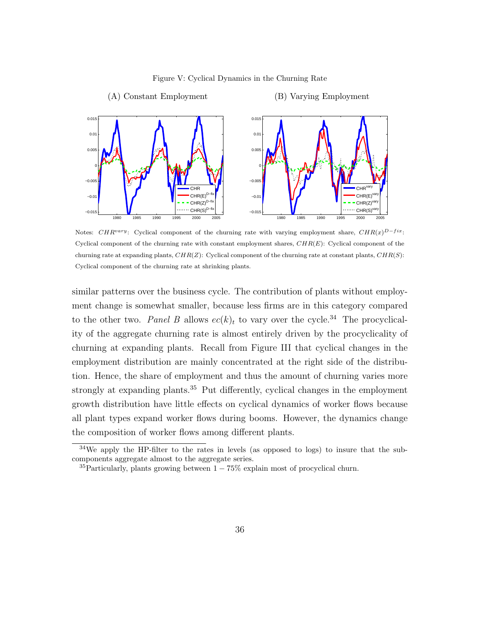

Figure V: Cyclical Dynamics in the Churning Rate

Notes: CHR<sup>vary</sup>: Cyclical component of the churning rate with varying employment share, CHR(x)<sup>D-fix</sup>: Cyclical component of the churning rate with constant employment shares,  $CHR(E)$ : Cyclical component of the churning rate at expanding plants,  $CHR(Z)$ : Cyclical component of the churning rate at constant plants,  $CHR(S)$ : Cyclical component of the churning rate at shrinking plants.

similar patterns over the business cycle. The contribution of plants without employment change is somewhat smaller, because less firms are in this category compared to the other two. Panel B allows  $ec(k)_t$  to vary over the cycle.<sup>34</sup> The procyclicality of the aggregate churning rate is almost entirely driven by the procyclicality of churning at expanding plants. Recall from Figure III that cyclical changes in the employment distribution are mainly concentrated at the right side of the distribution. Hence, the share of employment and thus the amount of churning varies more strongly at expanding plants.<sup>35</sup> Put differently, cyclical changes in the employment growth distribution have little effects on cyclical dynamics of worker flows because all plant types expand worker flows during booms. However, the dynamics change the composition of worker flows among different plants.

 $34$ We apply the HP-filter to the rates in levels (as opposed to logs) to insure that the subcomponents aggregate almost to the aggregate series.

 $35$ Particularly, plants growing between  $1 - 75\%$  explain most of procyclical churn.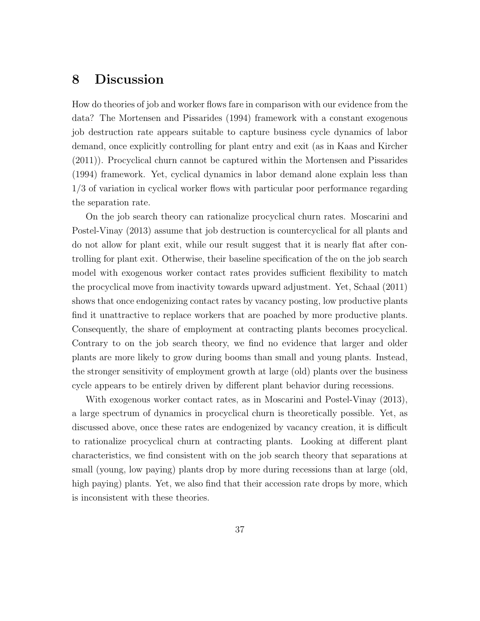### 8 Discussion

How do theories of job and worker flows fare in comparison with our evidence from the data? The Mortensen and Pissarides (1994) framework with a constant exogenous job destruction rate appears suitable to capture business cycle dynamics of labor demand, once explicitly controlling for plant entry and exit (as in Kaas and Kircher (2011)). Procyclical churn cannot be captured within the Mortensen and Pissarides (1994) framework. Yet, cyclical dynamics in labor demand alone explain less than 1/3 of variation in cyclical worker flows with particular poor performance regarding the separation rate.

On the job search theory can rationalize procyclical churn rates. Moscarini and Postel-Vinay (2013) assume that job destruction is countercyclical for all plants and do not allow for plant exit, while our result suggest that it is nearly flat after controlling for plant exit. Otherwise, their baseline specification of the on the job search model with exogenous worker contact rates provides sufficient flexibility to match the procyclical move from inactivity towards upward adjustment. Yet, Schaal (2011) shows that once endogenizing contact rates by vacancy posting, low productive plants find it unattractive to replace workers that are poached by more productive plants. Consequently, the share of employment at contracting plants becomes procyclical. Contrary to on the job search theory, we find no evidence that larger and older plants are more likely to grow during booms than small and young plants. Instead, the stronger sensitivity of employment growth at large (old) plants over the business cycle appears to be entirely driven by different plant behavior during recessions.

With exogenous worker contact rates, as in Moscarini and Postel-Vinay (2013), a large spectrum of dynamics in procyclical churn is theoretically possible. Yet, as discussed above, once these rates are endogenized by vacancy creation, it is difficult to rationalize procyclical churn at contracting plants. Looking at different plant characteristics, we find consistent with on the job search theory that separations at small (young, low paying) plants drop by more during recessions than at large (old, high paying) plants. Yet, we also find that their accession rate drops by more, which is inconsistent with these theories.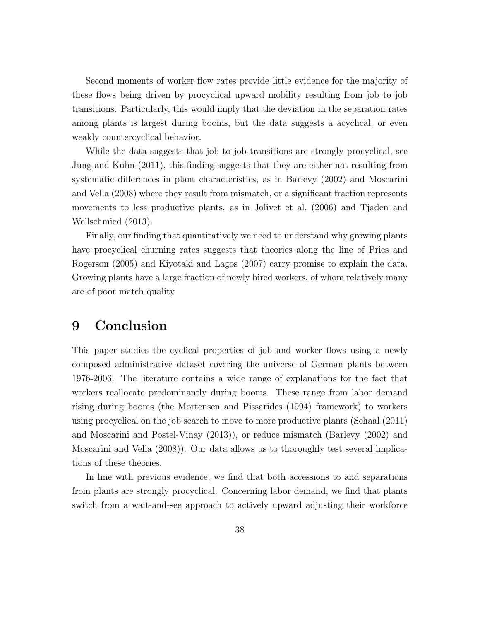Second moments of worker flow rates provide little evidence for the majority of these flows being driven by procyclical upward mobility resulting from job to job transitions. Particularly, this would imply that the deviation in the separation rates among plants is largest during booms, but the data suggests a acyclical, or even weakly countercyclical behavior.

While the data suggests that job to job transitions are strongly procyclical, see Jung and Kuhn (2011), this finding suggests that they are either not resulting from systematic differences in plant characteristics, as in Barlevy (2002) and Moscarini and Vella (2008) where they result from mismatch, or a significant fraction represents movements to less productive plants, as in Jolivet et al. (2006) and Tjaden and Wellschmied (2013).

Finally, our finding that quantitatively we need to understand why growing plants have procyclical churning rates suggests that theories along the line of Pries and Rogerson (2005) and Kiyotaki and Lagos (2007) carry promise to explain the data. Growing plants have a large fraction of newly hired workers, of whom relatively many are of poor match quality.

### 9 Conclusion

This paper studies the cyclical properties of job and worker flows using a newly composed administrative dataset covering the universe of German plants between 1976-2006. The literature contains a wide range of explanations for the fact that workers reallocate predominantly during booms. These range from labor demand rising during booms (the Mortensen and Pissarides (1994) framework) to workers using procyclical on the job search to move to more productive plants (Schaal (2011) and Moscarini and Postel-Vinay (2013)), or reduce mismatch (Barlevy (2002) and Moscarini and Vella (2008)). Our data allows us to thoroughly test several implications of these theories.

In line with previous evidence, we find that both accessions to and separations from plants are strongly procyclical. Concerning labor demand, we find that plants switch from a wait-and-see approach to actively upward adjusting their workforce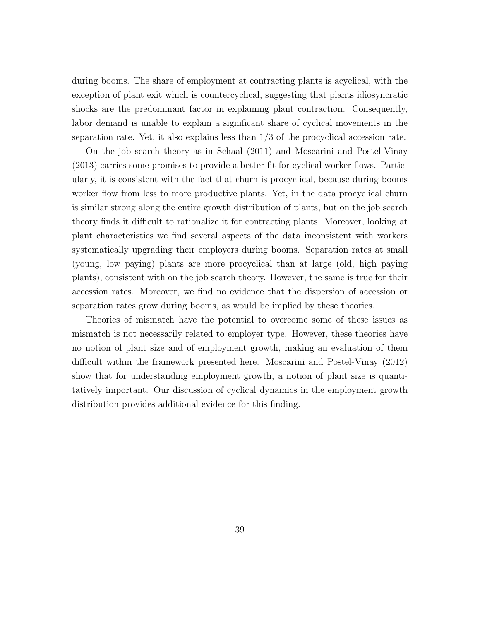during booms. The share of employment at contracting plants is acyclical, with the exception of plant exit which is countercyclical, suggesting that plants idiosyncratic shocks are the predominant factor in explaining plant contraction. Consequently, labor demand is unable to explain a significant share of cyclical movements in the separation rate. Yet, it also explains less than 1/3 of the procyclical accession rate.

On the job search theory as in Schaal (2011) and Moscarini and Postel-Vinay (2013) carries some promises to provide a better fit for cyclical worker flows. Particularly, it is consistent with the fact that churn is procyclical, because during booms worker flow from less to more productive plants. Yet, in the data procyclical churn is similar strong along the entire growth distribution of plants, but on the job search theory finds it difficult to rationalize it for contracting plants. Moreover, looking at plant characteristics we find several aspects of the data inconsistent with workers systematically upgrading their employers during booms. Separation rates at small (young, low paying) plants are more procyclical than at large (old, high paying plants), consistent with on the job search theory. However, the same is true for their accession rates. Moreover, we find no evidence that the dispersion of accession or separation rates grow during booms, as would be implied by these theories.

Theories of mismatch have the potential to overcome some of these issues as mismatch is not necessarily related to employer type. However, these theories have no notion of plant size and of employment growth, making an evaluation of them difficult within the framework presented here. Moscarini and Postel-Vinay (2012) show that for understanding employment growth, a notion of plant size is quantitatively important. Our discussion of cyclical dynamics in the employment growth distribution provides additional evidence for this finding.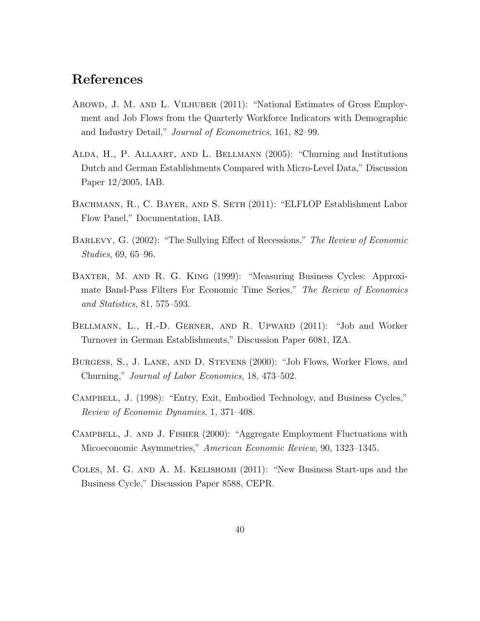### References

- Abowd, J. M. and L. Vilhuber (2011): "National Estimates of Gross Employment and Job Flows from the Quarterly Workforce Indicators with Demographic and Industry Detail," Journal of Econometrics, 161, 82–99.
- Alda, H., P. Allaart, and L. Bellmann (2005): "Churning and Institutions Dutch and German Establishments Compared with Micro-Level Data," Discussion Paper 12/2005, IAB.
- Bachmann, R., C. Bayer, and S. Seth (2011): "ELFLOP Establishment Labor Flow Panel," Documentation, IAB.
- Barlevy, G. (2002): "The Sullying Effect of Recessions," The Review of Economic Studies, 69, 65–96.
- Baxter, M. and R. G. King (1999): "Measuring Business Cycles: Approximate Band-Pass Filters For Economic Time Series," The Review of Economics and Statistics, 81, 575–593.
- Bellmann, L., H.-D. Gerner, and R. Upward (2011): "Job and Worker Turnover in German Establishments," Discussion Paper 6081, IZA.
- Burgess, S., J. Lane, and D. Stevens (2000): "Job Flows, Worker Flows, and Churning," Journal of Labor Economics, 18, 473–502.
- Campbell, J. (1998): "Entry, Exit, Embodied Technology, and Business Cycles," Review of Economic Dynamics, 1, 371–408.
- Campbell, J. and J. Fisher (2000): "Aggregate Employment Fluctuations with Micoeconomic Asymmetries," American Economic Review, 90, 1323–1345.
- Coles, M. G. and A. M. Kelishomi (2011): "New Business Start-ups and the Business Cycle," Discussion Paper 8588, CEPR.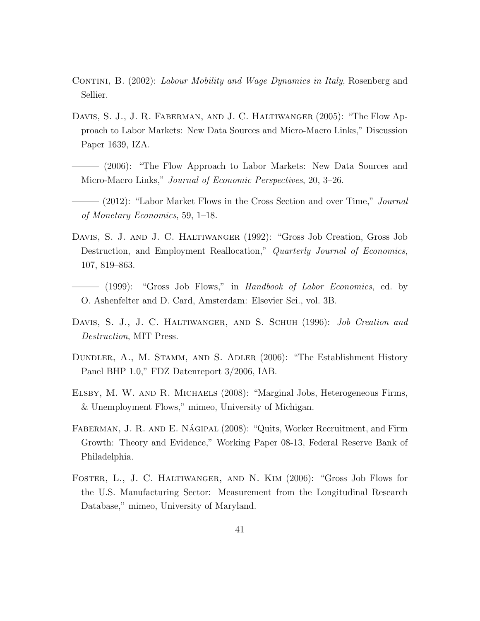- CONTINI, B. (2002): Labour Mobility and Wage Dynamics in Italy, Rosenberg and Sellier.
- DAVIS, S. J., J. R. FABERMAN, AND J. C. HALTIWANGER (2005): "The Flow Approach to Labor Markets: New Data Sources and Micro-Macro Links," Discussion Paper 1639, IZA.
- (2006): "The Flow Approach to Labor Markets: New Data Sources and Micro-Macro Links," *Journal of Economic Perspectives*, 20, 3–26.
- $-$  (2012): "Labor Market Flows in the Cross Section and over Time," *Journal* of Monetary Economics, 59, 1–18.
- Davis, S. J. and J. C. Haltiwanger (1992): "Gross Job Creation, Gross Job Destruction, and Employment Reallocation," Quarterly Journal of Economics, 107, 819–863.
- (1999): "Gross Job Flows," in Handbook of Labor Economics, ed. by O. Ashenfelter and D. Card, Amsterdam: Elsevier Sci., vol. 3B.
- DAVIS, S. J., J. C. HALTIWANGER, AND S. SCHUH (1996): *Job Creation and* Destruction, MIT Press.
- Dundler, A., M. Stamm, and S. Adler (2006): "The Establishment History Panel BHP 1.0," FDZ Datenreport 3/2006, IAB.
- Elsby, M. W. and R. Michaels (2008): "Marginal Jobs, Heterogeneous Firms, & Unemployment Flows," mimeo, University of Michigan.
- FABERMAN, J. R. AND E. NÁGIPAL (2008): "Quits, Worker Recruitment, and Firm Growth: Theory and Evidence," Working Paper 08-13, Federal Reserve Bank of Philadelphia.
- Foster, L., J. C. Haltiwanger, and N. Kim (2006): "Gross Job Flows for the U.S. Manufacturing Sector: Measurement from the Longitudinal Research Database," mimeo, University of Maryland.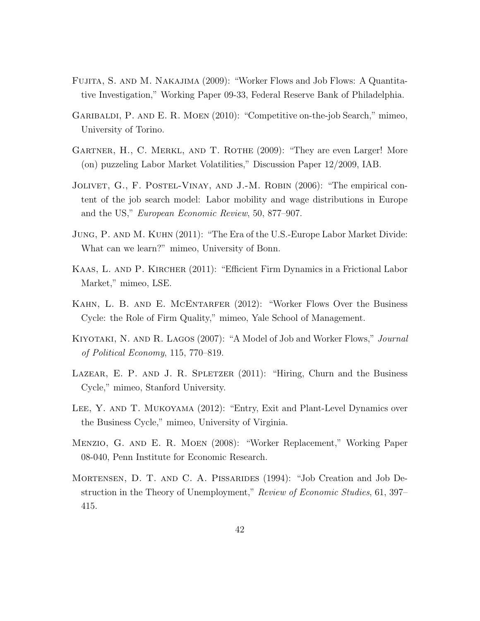- Fujita, S. and M. Nakajima (2009): "Worker Flows and Job Flows: A Quantitative Investigation," Working Paper 09-33, Federal Reserve Bank of Philadelphia.
- GARIBALDI, P. AND E. R. MOEN (2010): "Competitive on-the-job Search," mimeo, University of Torino.
- Gartner, H., C. Merkl, and T. Rothe (2009): "They are even Larger! More (on) puzzeling Labor Market Volatilities," Discussion Paper 12/2009, IAB.
- JOLIVET, G., F. POSTEL-VINAY, AND J.-M. ROBIN (2006): "The empirical content of the job search model: Labor mobility and wage distributions in Europe and the US," European Economic Review, 50, 877–907.
- Jung, P. and M. Kuhn (2011): "The Era of the U.S.-Europe Labor Market Divide: What can we learn?" mimeo, University of Bonn.
- Kaas, L. and P. Kircher (2011): "Efficient Firm Dynamics in a Frictional Labor Market," mimeo, LSE.
- Kahn, L. B. and E. McEntarfer (2012): "Worker Flows Over the Business Cycle: the Role of Firm Quality," mimeo, Yale School of Management.
- KIYOTAKI, N. AND R. LAGOS (2007): "A Model of Job and Worker Flows," *Journal* of Political Economy, 115, 770–819.
- LAZEAR, E. P. AND J. R. SPLETZER (2011): "Hiring, Churn and the Business Cycle," mimeo, Stanford University.
- Lee, Y. and T. Mukoyama (2012): "Entry, Exit and Plant-Level Dynamics over the Business Cycle," mimeo, University of Virginia.
- Menzio, G. and E. R. Moen (2008): "Worker Replacement," Working Paper 08-040, Penn Institute for Economic Research.
- Mortensen, D. T. and C. A. Pissarides (1994): "Job Creation and Job Destruction in the Theory of Unemployment," Review of Economic Studies, 61, 397– 415.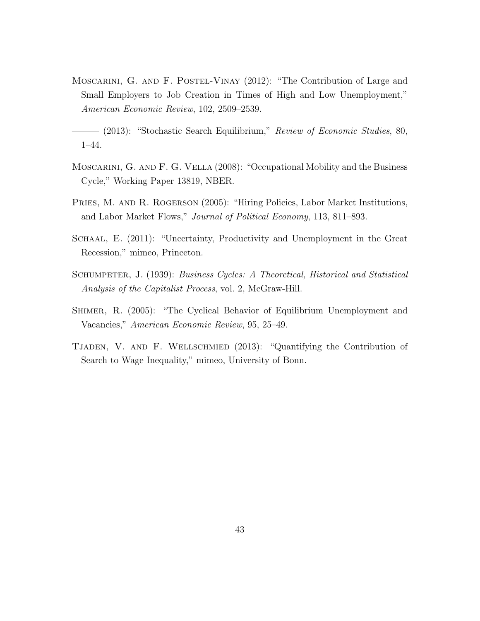MOSCARINI, G. AND F. POSTEL-VINAY (2012): "The Contribution of Large and Small Employers to Job Creation in Times of High and Low Unemployment," American Economic Review, 102, 2509–2539.

- Moscarini, G. and F. G. Vella (2008): "Occupational Mobility and the Business Cycle," Working Paper 13819, NBER.
- PRIES, M. AND R. ROGERSON (2005): "Hiring Policies, Labor Market Institutions, and Labor Market Flows," Journal of Political Economy, 113, 811–893.
- SCHAAL, E. (2011): "Uncertainty, Productivity and Unemployment in the Great Recession," mimeo, Princeton.
- SCHUMPETER, J. (1939): Business Cycles: A Theoretical, Historical and Statistical Analysis of the Capitalist Process, vol. 2, McGraw-Hill.
- Shimer, R. (2005): "The Cyclical Behavior of Equilibrium Unemployment and Vacancies," American Economic Review, 95, 25–49.
- Tjaden, V. and F. Wellschmied (2013): "Quantifying the Contribution of Search to Wage Inequality," mimeo, University of Bonn.

 $-$  (2013): "Stochastic Search Equilibrium," Review of Economic Studies, 80, 1–44.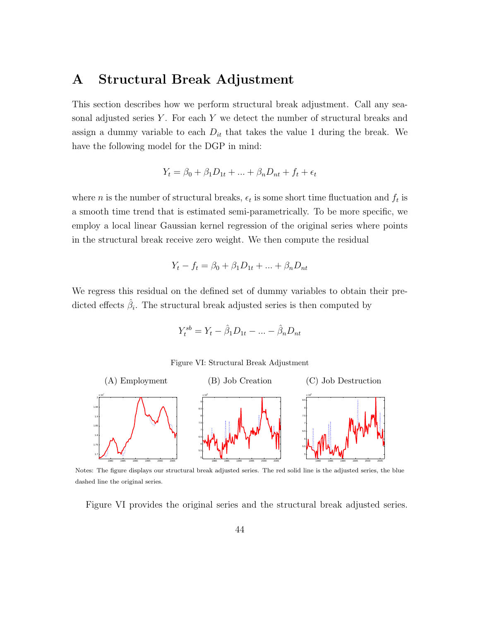### A Structural Break Adjustment

This section describes how we perform structural break adjustment. Call any seasonal adjusted series  $Y$ . For each  $Y$  we detect the number of structural breaks and assign a dummy variable to each  $D_{it}$  that takes the value 1 during the break. We have the following model for the DGP in mind:

$$
Y_t = \beta_0 + \beta_1 D_{1t} + \dots + \beta_n D_{nt} + f_t + \epsilon_t
$$

where *n* is the number of structural breaks,  $\epsilon_t$  is some short time fluctuation and  $f_t$  is a smooth time trend that is estimated semi-parametrically. To be more specific, we employ a local linear Gaussian kernel regression of the original series where points in the structural break receive zero weight. We then compute the residual

$$
Y_t - f_t = \beta_0 + \beta_1 D_{1t} + \dots + \beta_n D_{nt}
$$

We regress this residual on the defined set of dummy variables to obtain their predicted effects  $\hat{\beta}_i$ . The structural break adjusted series is then computed by

$$
Y_t^{sb} = Y_t - \hat{\beta}_1 D_{1t} - \dots - \hat{\beta}_n D_{nt}
$$

Figure VI: Structural Break Adjustment



Notes: The figure displays our structural break adjusted series. The red solid line is the adjusted series, the blue dashed line the original series.

Figure VI provides the original series and the structural break adjusted series.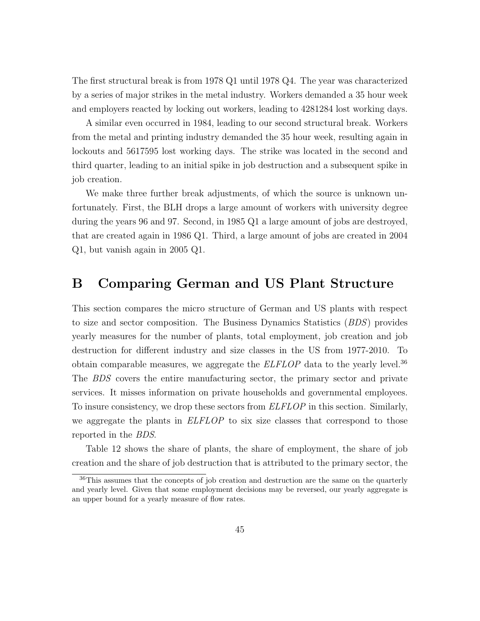The first structural break is from 1978 Q1 until 1978 Q4. The year was characterized by a series of major strikes in the metal industry. Workers demanded a 35 hour week and employers reacted by locking out workers, leading to 4281284 lost working days.

A similar even occurred in 1984, leading to our second structural break. Workers from the metal and printing industry demanded the 35 hour week, resulting again in lockouts and 5617595 lost working days. The strike was located in the second and third quarter, leading to an initial spike in job destruction and a subsequent spike in job creation.

We make three further break adjustments, of which the source is unknown unfortunately. First, the BLH drops a large amount of workers with university degree during the years 96 and 97. Second, in 1985 Q1 a large amount of jobs are destroyed, that are created again in 1986 Q1. Third, a large amount of jobs are created in 2004 Q1, but vanish again in 2005 Q1.

### B Comparing German and US Plant Structure

This section compares the micro structure of German and US plants with respect to size and sector composition. The Business Dynamics Statistics (BDS) provides yearly measures for the number of plants, total employment, job creation and job destruction for different industry and size classes in the US from 1977-2010. To obtain comparable measures, we aggregate the  $ELFLOP$  data to the yearly level.<sup>36</sup> The BDS covers the entire manufacturing sector, the primary sector and private services. It misses information on private households and governmental employees. To insure consistency, we drop these sectors from ELFLOP in this section. Similarly, we aggregate the plants in **ELFLOP** to six size classes that correspond to those reported in the BDS.

Table 12 shows the share of plants, the share of employment, the share of job creation and the share of job destruction that is attributed to the primary sector, the

<sup>&</sup>lt;sup>36</sup>This assumes that the concepts of job creation and destruction are the same on the quarterly and yearly level. Given that some employment decisions may be reversed, our yearly aggregate is an upper bound for a yearly measure of flow rates.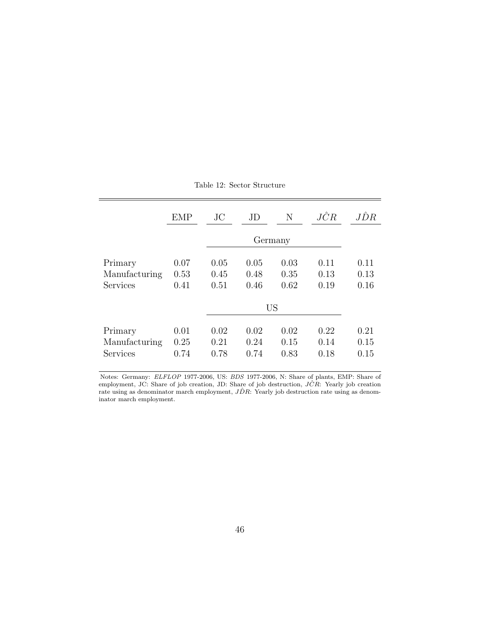|               | <b>EMP</b> | $\rm JC$ | JD      | N    | JĈR  | JĎR  |  |  |
|---------------|------------|----------|---------|------|------|------|--|--|
|               |            |          | Germany |      |      |      |  |  |
| Primary       | 0.07       | 0.05     | 0.05    | 0.03 | 0.11 | 0.11 |  |  |
| Manufacturing | 0.53       | 0.45     | 0.48    | 0.35 | 0.13 | 0.13 |  |  |
| Services      | 0.41       | 0.51     | 0.46    | 0.62 | 0.19 | 0.16 |  |  |
|               |            |          | US      |      |      |      |  |  |
| Primary       | 0.01       | 0.02     | 0.02    | 0.02 | 0.22 | 0.21 |  |  |
| Manufacturing | 0.25       | 0.21     | 0.24    | 0.15 | 0.14 | 0.15 |  |  |
| Services      | 0.74       | 0.78     | 0.74    | 0.83 | 0.18 | 0.15 |  |  |

Table 12: Sector Structure

Notes: Germany: ELFLOP 1977-2006, US: BDS 1977-2006, N: Share of plants, EMP: Share of employment, JC: Share of job creation, JD: Share of job destruction,  $J\hat{C}R$ : Yearly job creation rate using as denominator march employment,  $J\hat{D}R$ : Yearly job destruction rate using as denominator march employment.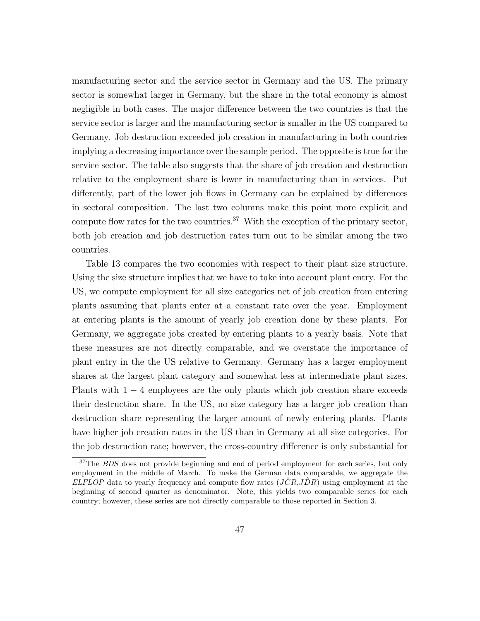manufacturing sector and the service sector in Germany and the US. The primary sector is somewhat larger in Germany, but the share in the total economy is almost negligible in both cases. The major difference between the two countries is that the service sector is larger and the manufacturing sector is smaller in the US compared to Germany. Job destruction exceeded job creation in manufacturing in both countries implying a decreasing importance over the sample period. The opposite is true for the service sector. The table also suggests that the share of job creation and destruction relative to the employment share is lower in manufacturing than in services. Put differently, part of the lower job flows in Germany can be explained by differences in sectoral composition. The last two columns make this point more explicit and compute flow rates for the two countries.<sup>37</sup> With the exception of the primary sector, both job creation and job destruction rates turn out to be similar among the two countries.

Table 13 compares the two economies with respect to their plant size structure. Using the size structure implies that we have to take into account plant entry. For the US, we compute employment for all size categories net of job creation from entering plants assuming that plants enter at a constant rate over the year. Employment at entering plants is the amount of yearly job creation done by these plants. For Germany, we aggregate jobs created by entering plants to a yearly basis. Note that these measures are not directly comparable, and we overstate the importance of plant entry in the the US relative to Germany. Germany has a larger employment shares at the largest plant category and somewhat less at intermediate plant sizes. Plants with  $1 - 4$  employees are the only plants which job creation share exceeds their destruction share. In the US, no size category has a larger job creation than destruction share representing the larger amount of newly entering plants. Plants have higher job creation rates in the US than in Germany at all size categories. For the job destruction rate; however, the cross-country difference is only substantial for

<sup>&</sup>lt;sup>37</sup>The *BDS* does not provide beginning and end of period employment for each series, but only employment in the middle of March. To make the German data comparable, we aggregate the ELFLOP data to yearly frequency and compute flow rates  $(\overrightarrow{JCR},\overrightarrow{DR})$  using employment at the beginning of second quarter as denominator. Note, this yields two comparable series for each country; however, these series are not directly comparable to those reported in Section 3.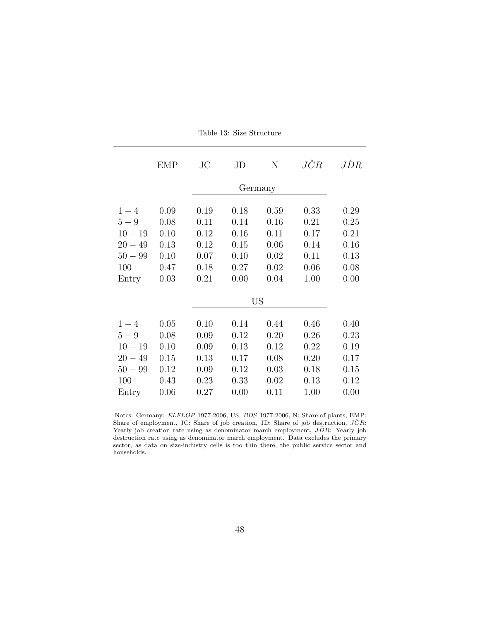|                                                                            | <b>EMP</b>                                           | $\rm JC$                                             | JD                                                   | N                                                    | JĈR                                                  | JDR                                                  |  |  |  |  |
|----------------------------------------------------------------------------|------------------------------------------------------|------------------------------------------------------|------------------------------------------------------|------------------------------------------------------|------------------------------------------------------|------------------------------------------------------|--|--|--|--|
|                                                                            |                                                      |                                                      | Germany                                              |                                                      |                                                      |                                                      |  |  |  |  |
| $1 - 4$<br>$5-9$<br>$10 - 19$<br>$20 - 49$<br>$50 - 99$<br>$100+$<br>Entry | 0.09<br>0.08<br>0.10<br>0.13<br>0.10<br>0.47<br>0.03 | 0.19<br>0.11<br>0.12<br>0.12<br>0.07<br>0.18<br>0.21 | 0.18<br>0.14<br>0.16<br>0.15<br>0.10<br>0.27<br>0.00 | 0.59<br>0.16<br>0.11<br>0.06<br>0.02<br>0.02<br>0.04 | 0.33<br>0.21<br>0.17<br>0.14<br>0.11<br>0.06<br>1.00 | 0.29<br>0.25<br>0.21<br>0.16<br>0.13<br>0.08<br>0.00 |  |  |  |  |
|                                                                            |                                                      |                                                      | US                                                   |                                                      |                                                      |                                                      |  |  |  |  |
| $1 - 4$<br>$5-9$<br>$10 - 19$<br>$20 - 49$<br>$50 - 99$<br>$100+$<br>Entry | 0.05<br>0.08<br>0.10<br>0.15<br>0.12<br>0.43<br>0.06 | 0.10<br>0.09<br>0.09<br>0.13<br>0.09<br>0.23<br>0.27 | 0.14<br>0.12<br>0.13<br>0.17<br>0.12<br>0.33<br>0.00 | 0.44<br>0.20<br>0.12<br>0.08<br>0.03<br>0.02<br>0.11 | 0.46<br>0.26<br>0.22<br>0.20<br>0.18<br>0.13<br>1.00 | 0.40<br>0.23<br>0.19<br>0.17<br>0.15<br>0.12<br>0.00 |  |  |  |  |

Table 13: Size Structure

Notes: Germany: ELFLOP 1977-2006, US: BDS 1977-2006, N: Share of plants, EMP: Share of employment, JC: Share of job creation, JD: Share of job destruction,  $J\hat{C}R$ : Yearly job creation rate using as denominator march employment,  $J\hat{D}R$ : Yearly job destruction rate using as denominator march employment. Data excludes the primary sector, as data on size-industry cells is too thin there, the public service sector and households.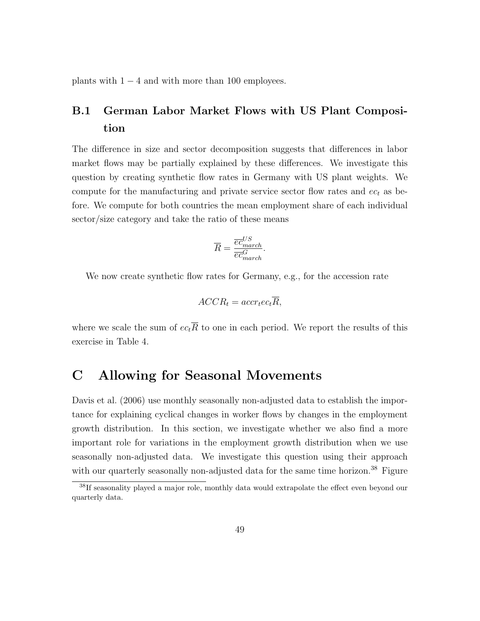plants with  $1 - 4$  and with more than 100 employees.

### B.1 German Labor Market Flows with US Plant Composition

The difference in size and sector decomposition suggests that differences in labor market flows may be partially explained by these differences. We investigate this question by creating synthetic flow rates in Germany with US plant weights. We compute for the manufacturing and private service sector flow rates and  $ec_t$  as before. We compute for both countries the mean employment share of each individual sector/size category and take the ratio of these means

$$
\overline{R} = \frac{\overline{ec}_{march}^{US}}{\overline{ec}_{march}^{G}}.
$$

We now create synthetic flow rates for Germany, e.g., for the accession rate

$$
ACCR_t = accr_tec_t\overline{R},
$$

where we scale the sum of  $ec_t\overline{R}$  to one in each period. We report the results of this exercise in Table 4.

### C Allowing for Seasonal Movements

Davis et al. (2006) use monthly seasonally non-adjusted data to establish the importance for explaining cyclical changes in worker flows by changes in the employment growth distribution. In this section, we investigate whether we also find a more important role for variations in the employment growth distribution when we use seasonally non-adjusted data. We investigate this question using their approach with our quarterly seasonally non-adjusted data for the same time horizon.<sup>38</sup> Figure

<sup>&</sup>lt;sup>38</sup>If seasonality played a major role, monthly data would extrapolate the effect even beyond our quarterly data.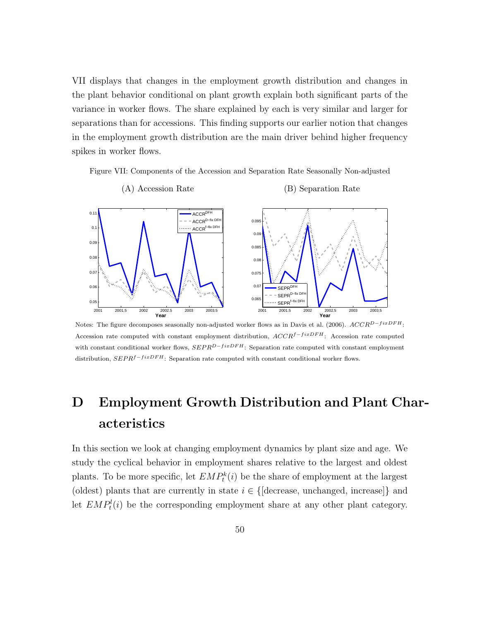VII displays that changes in the employment growth distribution and changes in the plant behavior conditional on plant growth explain both significant parts of the variance in worker flows. The share explained by each is very similar and larger for separations than for accessions. This finding supports our earlier notion that changes in the employment growth distribution are the main driver behind higher frequency spikes in worker flows.

Figure VII: Components of the Accession and Separation Rate Seasonally Non-adjusted



Notes: The figure decomposes seasonally non-adjusted worker flows as in Davis et al. (2006).  $ACCR^{D-fixDFH}$ : Accession rate computed with constant employment distribution,  $ACCR^{f-fixDFH}$ : Accession rate computed with constant conditional worker flows,  $SEPR^{D-fixDFH}$ : Separation rate computed with constant employment distribution,  $SEPR<sup>f-fixDFH</sup>$ : Separation rate computed with constant conditional worker flows.

## D Employment Growth Distribution and Plant Characteristics

In this section we look at changing employment dynamics by plant size and age. We study the cyclical behavior in employment shares relative to the largest and oldest plants. To be more specific, let  $EMP_t^k(i)$  be the share of employment at the largest (oldest) plants that are currently in state  $i \in \{\text{[decrease, unchanged, increase]}\}\$ and let  $EMP_t^l(i)$  be the corresponding employment share at any other plant category.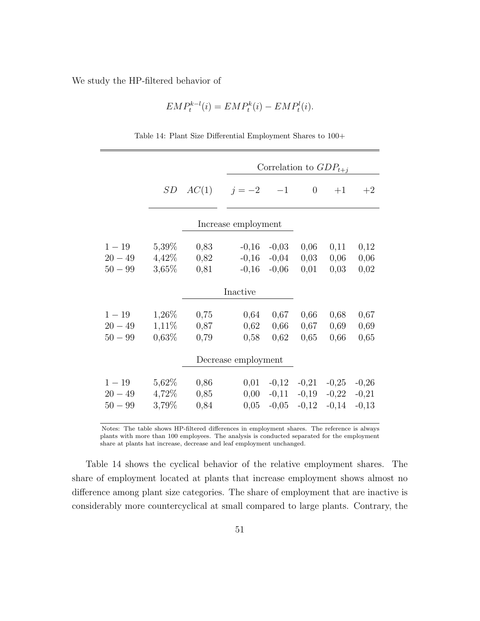We study the HP-filtered behavior of

$$
EMP_t^{k-l}(i) = EMP_t^k(i) - EMP_t^l(i).
$$

|                                    |                                |                      | Correlation to $GDP_{t+i}$    |                               |                               |                               |                               |  |  |
|------------------------------------|--------------------------------|----------------------|-------------------------------|-------------------------------|-------------------------------|-------------------------------|-------------------------------|--|--|
|                                    | SD                             |                      | $AC(1)$ $j=-2$ $-1$           |                               | $\theta$                      | $+1$                          | $+2$                          |  |  |
|                                    |                                |                      | Increase employment           |                               |                               |                               |                               |  |  |
| $1 - 19$<br>$20 - 49$<br>$50 - 99$ | 5,39\%<br>$4,42\%$<br>3,65%    | 0,83<br>0,82<br>0,81 | $-0,16$<br>$-0,16$<br>$-0,16$ | $-0,03$<br>$-0,04$<br>$-0,06$ | 0,06<br>0,03<br>0,01          | 0,11<br>0,06<br>0,03          | 0,12<br>0,06<br>0,02          |  |  |
|                                    | Inactive                       |                      |                               |                               |                               |                               |                               |  |  |
| $1 - 19$<br>$20 - 49$<br>$50 - 99$ | 1,26\%<br>$1,11\%$<br>$0,63\%$ | 0,75<br>0,87<br>0,79 | 0,64<br>0,62<br>0,58          | 0,67<br>0,66<br>0,62          | 0,66<br>0,67<br>0,65          | 0,68<br>0,69<br>0,66          | 0,67<br>0,69<br>0,65          |  |  |
|                                    | Decrease employment            |                      |                               |                               |                               |                               |                               |  |  |
| $1 - 19$<br>$20 - 49$<br>$50 - 99$ | 5,62%<br>4,72%<br>3,79%        | 0,86<br>0,85<br>0,84 | 0,01<br>0,00<br>0,05          | $-0,12$<br>$-0,11$<br>$-0,05$ | $-0,21$<br>$-0,19$<br>$-0,12$ | $-0,25$<br>$-0,22$<br>$-0,14$ | $-0,26$<br>$-0,21$<br>$-0,13$ |  |  |

Table 14: Plant Size Differential Employment Shares to 100+

Notes: The table shows HP-filtered differences in employment shares. The reference is always plants with more than 100 employees. The analysis is conducted separated for the employment share at plants hat increase, decrease and leaf employment unchanged.

Table 14 shows the cyclical behavior of the relative employment shares. The share of employment located at plants that increase employment shows almost no difference among plant size categories. The share of employment that are inactive is considerably more countercyclical at small compared to large plants. Contrary, the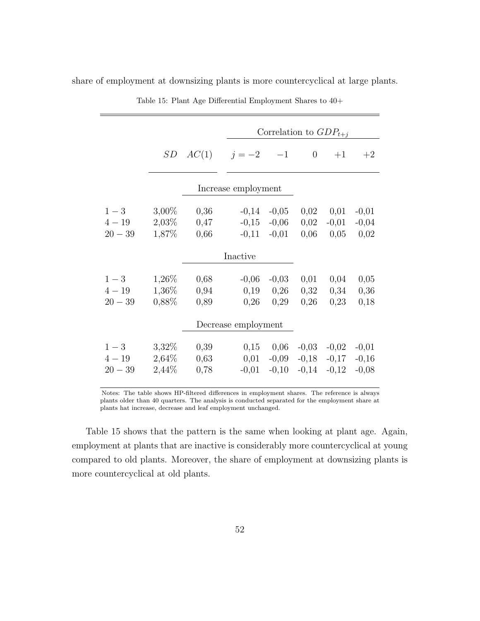| Correlation to $GDP_{t+i}$<br>AC(1)<br>SD<br>$j = -2$ -1<br>$\overline{0}$<br>$+1$<br>Increase employment<br>$1 - 3$<br>$3,00\%$<br>0,02<br>0,01<br>0,36<br>$-0,14$<br>$-0,05$<br>$4 - 19$<br>2,03%<br>0,47<br>$-0,15$<br>$-0,06$<br>0,02<br>$-0,01$<br>1,87%<br>$20 - 39$<br>0,66<br>$-0,11$ $-0,01$<br>0,06<br>0,05<br>Inactive<br>1,26%<br>$1-3$<br>0,68<br>$-0,06$<br>$-0,03$<br>0,01<br>0,04<br>$1,36\%$<br>$4 - 19$<br>0,94<br>0,19<br>0,26<br>0,32<br>0,34<br>0,88%<br>$20 - 39$<br>0,26<br>0,29<br>0,26<br>0,23<br>0,89<br>Decrease employment<br>3,32%<br>$1-3$<br>0,06<br>0,39<br>0,15<br>$-0,03$<br>$-0,02$<br>$4 - 19$<br>2,64%<br>0,63<br>0,01<br>$-0,09$<br>$-0,18$<br>$-0,17$<br>2,44%<br>$20 - 39$<br>0,78<br>$-0,10$<br>$-0,14$<br>$-0,12$<br>$-0,01$ |  |  |  |  |  |  |                               |  |
|------------------------------------------------------------------------------------------------------------------------------------------------------------------------------------------------------------------------------------------------------------------------------------------------------------------------------------------------------------------------------------------------------------------------------------------------------------------------------------------------------------------------------------------------------------------------------------------------------------------------------------------------------------------------------------------------------------------------------------------------------------------------|--|--|--|--|--|--|-------------------------------|--|
|                                                                                                                                                                                                                                                                                                                                                                                                                                                                                                                                                                                                                                                                                                                                                                        |  |  |  |  |  |  |                               |  |
|                                                                                                                                                                                                                                                                                                                                                                                                                                                                                                                                                                                                                                                                                                                                                                        |  |  |  |  |  |  | $+2$                          |  |
|                                                                                                                                                                                                                                                                                                                                                                                                                                                                                                                                                                                                                                                                                                                                                                        |  |  |  |  |  |  |                               |  |
|                                                                                                                                                                                                                                                                                                                                                                                                                                                                                                                                                                                                                                                                                                                                                                        |  |  |  |  |  |  | $-0,01$<br>$-0,04$<br>0,02    |  |
|                                                                                                                                                                                                                                                                                                                                                                                                                                                                                                                                                                                                                                                                                                                                                                        |  |  |  |  |  |  |                               |  |
|                                                                                                                                                                                                                                                                                                                                                                                                                                                                                                                                                                                                                                                                                                                                                                        |  |  |  |  |  |  | 0,05<br>0,36<br>0,18          |  |
|                                                                                                                                                                                                                                                                                                                                                                                                                                                                                                                                                                                                                                                                                                                                                                        |  |  |  |  |  |  |                               |  |
|                                                                                                                                                                                                                                                                                                                                                                                                                                                                                                                                                                                                                                                                                                                                                                        |  |  |  |  |  |  | $-0,01$<br>$-0,16$<br>$-0,08$ |  |

share of employment at downsizing plants is more countercyclical at large plants.

Table 15: Plant Age Differential Employment Shares to 40+

Notes: The table shows HP-filtered differences in employment shares. The reference is always plants older than 40 quarters. The analysis is conducted separated for the employment share at plants hat increase, decrease and leaf employment unchanged.

Table 15 shows that the pattern is the same when looking at plant age. Again, employment at plants that are inactive is considerably more countercyclical at young compared to old plants. Moreover, the share of employment at downsizing plants is more countercyclical at old plants.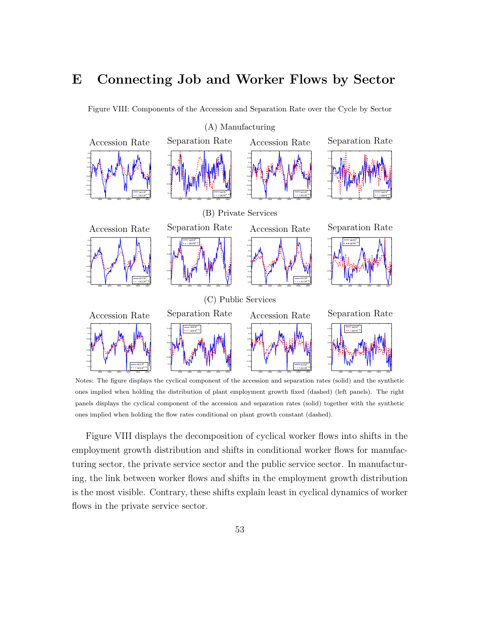### E Connecting Job and Worker Flows by Sector

Figure VIII: Components of the Accession and Separation Rate over the Cycle by Sector



Notes: The figure displays the cyclical component of the accession and separation rates (solid) and the synthetic ones implied when holding the distribution of plant employment growth fixed (dashed) (left panels). The right panels displays the cyclical component of the accession and separation rates (solid) together with the synthetic ones implied when holding the flow rates conditional on plant growth constant (dashed).

Figure VIII displays the decomposition of cyclical worker flows into shifts in the employment growth distribution and shifts in conditional worker flows for manufacturing sector, the private service sector and the public service sector. In manufacturing, the link between worker flows and shifts in the employment growth distribution is the most visible. Contrary, these shifts explain least in cyclical dynamics of worker flows in the private service sector.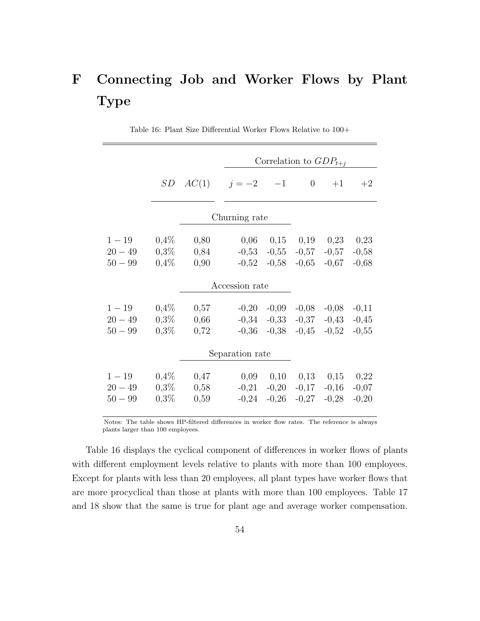# F Connecting Job and Worker Flows by Plant Type

|           |         | Correlation to $GDP_{t+i}$ |                 |                             |                             |         |         |  |
|-----------|---------|----------------------------|-----------------|-----------------------------|-----------------------------|---------|---------|--|
|           |         | SD $AC(1)$ $j = -2$ $-1$   |                 |                             | $\theta$                    | $+1$    | $+2$    |  |
|           |         |                            | Churning rate   |                             |                             |         |         |  |
| $1 - 19$  | $0,4\%$ | 0,80                       |                 | $0,06$ $0,15$ $0,19$ $0,23$ |                             |         | 0,23    |  |
| $20 - 49$ | $0,3\%$ | 0,84                       |                 | $-0,53$ $-0,55$             | $-0,57$                     | $-0,57$ | $-0,58$ |  |
| $50 - 99$ | 0,4%    | 0,90                       | $-0,52$         | $-0,58$                     | $-0,65$                     | $-0,67$ | $-0,68$ |  |
|           |         |                            | Accession rate  |                             |                             |         |         |  |
| $1 - 19$  | $0,4\%$ | 0,57                       | $-0,20$         | $-0,09$                     | $-0,08$                     | $-0,08$ | $-0,11$ |  |
| $20 - 49$ | $0,3\%$ | 0,66                       | $-0,34$         | $-0.33$                     | $-0,37$                     | $-0,43$ | $-0,45$ |  |
| $50 - 99$ | $0,3\%$ | 0,72                       | $-0,36$         | $-0,38$                     | $-0,45$                     | $-0,52$ | $-0,55$ |  |
|           |         |                            | Separation rate |                             |                             |         |         |  |
| $1 - 19$  | $0,4\%$ | 0,47                       | 0,09            |                             | $0,10$ $0,13$ $0,15$ $0,22$ |         |         |  |
| $20 - 49$ | $0,3\%$ | 0,58                       | $-0,21$         | $-0,20$                     | $-0,17$                     | $-0,16$ | $-0,07$ |  |
| $50 - 99$ | $0,3\%$ | 0,59                       | $-0,24$         | $-0,26$                     | $-0,27$                     | $-0,28$ | $-0,20$ |  |

Table 16: Plant Size Differential Worker Flows Relative to 100+

Notes: The table shows HP-filtered differences in worker flow rates. The reference is always plants larger than 100 employees.

Table 16 displays the cyclical component of differences in worker flows of plants with different employment levels relative to plants with more than 100 employees. Except for plants with less than 20 employees, all plant types have worker flows that are more procyclical than those at plants with more than 100 employees. Table 17 and 18 show that the same is true for plant age and average worker compensation.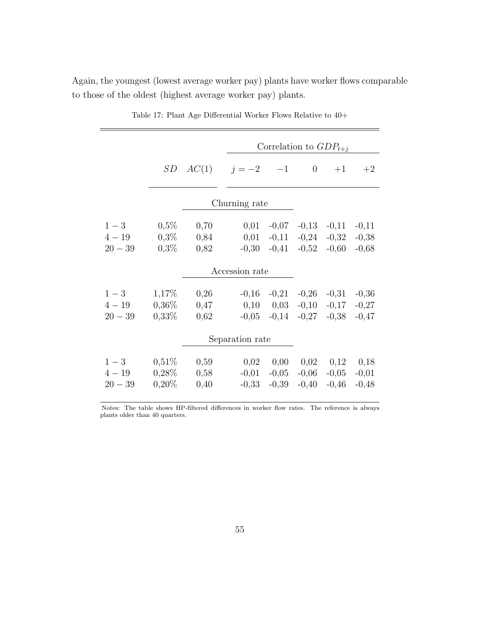|                                |                                  |                      | Correlation to $GDP_{t+j}$ |                                                 |                                         |                               |                               |  |
|--------------------------------|----------------------------------|----------------------|----------------------------|-------------------------------------------------|-----------------------------------------|-------------------------------|-------------------------------|--|
|                                | SD                               | $AC(1)$ $j=-2$ $-1$  |                            |                                                 | $\overline{0}$                          | $+1$                          | $+2$                          |  |
|                                |                                  |                      | Churning rate              |                                                 |                                         |                               |                               |  |
| $1-3$<br>$4 - 19$<br>$20 - 39$ | $0,5\%$<br>$0,3\%$<br>$0,3\%$    | 0,70<br>0,84<br>0,82 | 0,01<br>0,01<br>$-0,30$    | $-0,07$<br>$-0,11$<br>$-0,41$                   | $-0,13$<br>$-0,24$<br>$-0,52$           | $-0,11$<br>$-0,32$<br>$-0,60$ | $-0,11$<br>$-0,38$<br>$-0,68$ |  |
| Accession rate                 |                                  |                      |                            |                                                 |                                         |                               |                               |  |
| $1-3$<br>$4 - 19$<br>$20 - 39$ | 1,17%<br>$0,36\%$<br>$0,33\%$    | 0,26<br>0,47<br>0,62 | $-0,16$                    | $-0,21$<br>$0,10 \quad 0,03$<br>$-0,05$ $-0,14$ | $-0,26$<br>$-0,10$<br>$-0,27$           | $-0,31$<br>$-0,17$<br>$-0,38$ | $-0,36$<br>$-0,27$<br>$-0,47$ |  |
| Separation rate                |                                  |                      |                            |                                                 |                                         |                               |                               |  |
| $1-3$<br>$4 - 19$<br>$20 - 39$ | $0,51\%$<br>$0,28\%$<br>$0,20\%$ | 0,59<br>0,58<br>0,40 | 0,02<br>$-0,01$<br>$-0,33$ | $-0,05$<br>$-0,39$                              | $0,00 \quad 0,02$<br>$-0,06$<br>$-0,40$ | 0,12<br>$-0,05$<br>$-0,46$    | 0,18<br>$-0,01$<br>$-0,48$    |  |

Table 17: Plant Age Differential Worker Flows Relative to 40+

Again, the youngest (lowest average worker pay) plants have worker flows comparable

to those of the oldest (highest average worker pay) plants.

Notes: The table shows HP-filtered differences in worker flow rates. The reference is always plants older than 40 quarters.